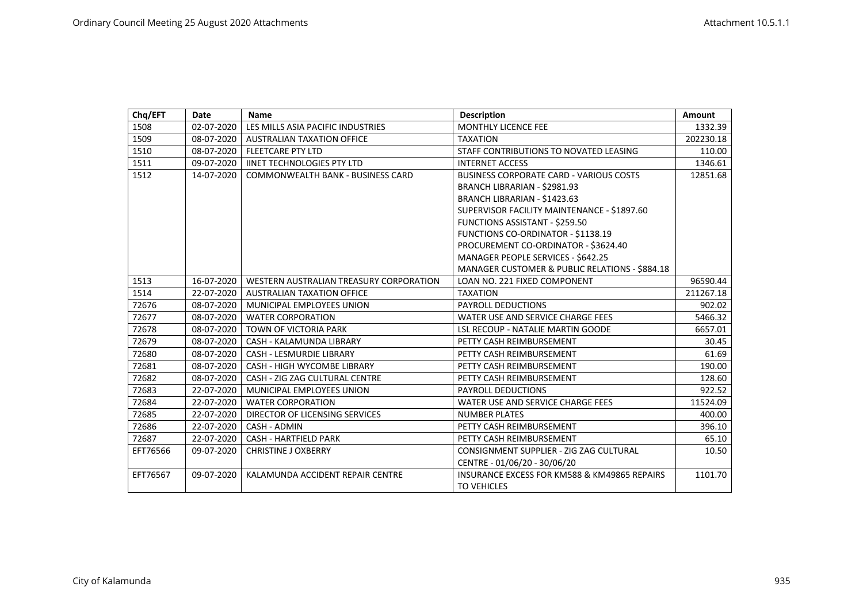| Chq/EFT  | <b>Date</b> | <b>Name</b>                              | <b>Description</b>                                      | Amount    |
|----------|-------------|------------------------------------------|---------------------------------------------------------|-----------|
| 1508     | 02-07-2020  | LES MILLS ASIA PACIFIC INDUSTRIES        | <b>MONTHLY LICENCE FEE</b>                              | 1332.39   |
| 1509     | 08-07-2020  | <b>AUSTRALIAN TAXATION OFFICE</b>        | <b>TAXATION</b>                                         | 202230.18 |
| 1510     | 08-07-2020  | <b>FLEETCARE PTY LTD</b>                 | STAFF CONTRIBUTIONS TO NOVATED LEASING                  | 110.00    |
| 1511     | 09-07-2020  | <b>IINET TECHNOLOGIES PTY LTD</b>        | <b>INTERNET ACCESS</b>                                  | 1346.61   |
| 1512     | 14-07-2020  | <b>COMMONWEALTH BANK - BUSINESS CARD</b> | <b>BUSINESS CORPORATE CARD - VARIOUS COSTS</b>          | 12851.68  |
|          |             |                                          | BRANCH LIBRARIAN - \$2981.93                            |           |
|          |             |                                          | BRANCH LIBRARIAN - \$1423.63                            |           |
|          |             |                                          | SUPERVISOR FACILITY MAINTENANCE - \$1897.60             |           |
|          |             |                                          | <b>FUNCTIONS ASSISTANT - \$259.50</b>                   |           |
|          |             |                                          | <b>FUNCTIONS CO-ORDINATOR - \$1138.19</b>               |           |
|          |             |                                          | PROCUREMENT CO-ORDINATOR - \$3624.40                    |           |
|          |             |                                          | MANAGER PEOPLE SERVICES - \$642.25                      |           |
|          |             |                                          | MANAGER CUSTOMER & PUBLIC RELATIONS - \$884.18          |           |
| 1513     | 16-07-2020  | WESTERN AUSTRALIAN TREASURY CORPORATION  | LOAN NO. 221 FIXED COMPONENT                            | 96590.44  |
| 1514     | 22-07-2020  | <b>AUSTRALIAN TAXATION OFFICE</b>        | <b>TAXATION</b>                                         | 211267.18 |
| 72676    | 08-07-2020  | MUNICIPAL EMPLOYEES UNION                | <b>PAYROLL DEDUCTIONS</b>                               | 902.02    |
| 72677    | 08-07-2020  | <b>WATER CORPORATION</b>                 | WATER USE AND SERVICE CHARGE FEES                       | 5466.32   |
| 72678    | 08-07-2020  | <b>TOWN OF VICTORIA PARK</b>             | <b>LSL RECOUP - NATALIE MARTIN GOODE</b>                | 6657.01   |
| 72679    | 08-07-2020  | CASH - KALAMUNDA LIBRARY                 | PETTY CASH REIMBURSEMENT                                | 30.45     |
| 72680    | 08-07-2020  | <b>CASH - LESMURDIE LIBRARY</b>          | PETTY CASH REIMBURSEMENT                                | 61.69     |
| 72681    | 08-07-2020  | <b>CASH - HIGH WYCOMBE LIBRARY</b>       | PETTY CASH REIMBURSEMENT                                | 190.00    |
| 72682    | 08-07-2020  | CASH - ZIG ZAG CULTURAL CENTRE           | PETTY CASH REIMBURSEMENT                                | 128.60    |
| 72683    | 22-07-2020  | MUNICIPAL EMPLOYEES UNION                | <b>PAYROLL DEDUCTIONS</b>                               | 922.52    |
| 72684    | 22-07-2020  | <b>WATER CORPORATION</b>                 | WATER USE AND SERVICE CHARGE FEES                       | 11524.09  |
| 72685    | 22-07-2020  | DIRECTOR OF LICENSING SERVICES           | <b>NUMBER PLATES</b>                                    | 400.00    |
| 72686    | 22-07-2020  | CASH - ADMIN                             | PETTY CASH REIMBURSEMENT                                | 396.10    |
| 72687    | 22-07-2020  | <b>CASH - HARTFIELD PARK</b>             | PETTY CASH REIMBURSEMENT                                | 65.10     |
| EFT76566 | 09-07-2020  | <b>CHRISTINE J OXBERRY</b>               | CONSIGNMENT SUPPLIER - ZIG ZAG CULTURAL                 | 10.50     |
|          |             |                                          | CENTRE - 01/06/20 - 30/06/20                            |           |
| EFT76567 | 09-07-2020  | KALAMUNDA ACCIDENT REPAIR CENTRE         | <b>INSURANCE EXCESS FOR KM588 &amp; KM49865 REPAIRS</b> | 1101.70   |
|          |             |                                          | <b>TO VEHICLES</b>                                      |           |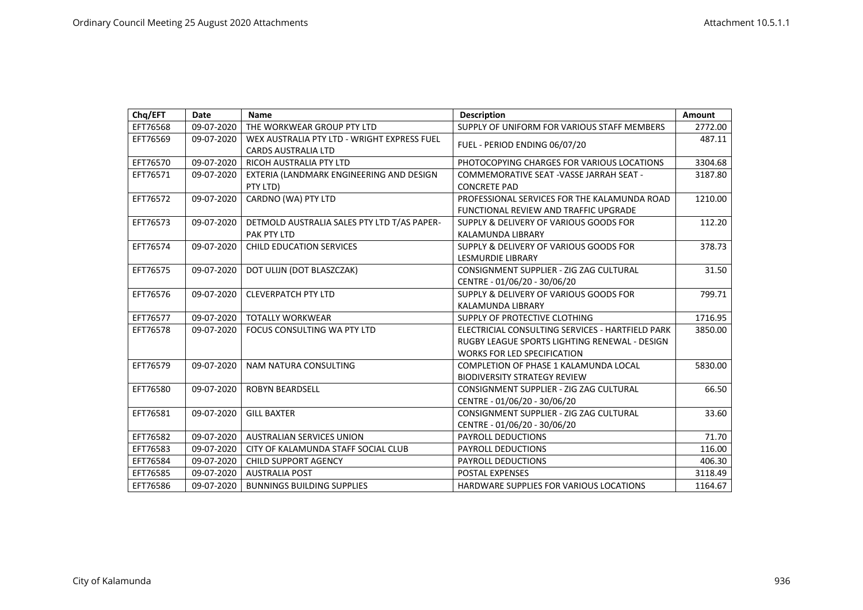| Chq/EFT  | Date       | <b>Name</b>                                 | <b>Description</b>                               | <b>Amount</b> |
|----------|------------|---------------------------------------------|--------------------------------------------------|---------------|
| EFT76568 | 09-07-2020 | THE WORKWEAR GROUP PTY LTD                  | SUPPLY OF UNIFORM FOR VARIOUS STAFF MEMBERS      | 2772.00       |
| EFT76569 | 09-07-2020 | WEX AUSTRALIA PTY LTD - WRIGHT EXPRESS FUEL | FUEL - PERIOD ENDING 06/07/20                    | 487.11        |
|          |            | <b>CARDS AUSTRALIA LTD</b>                  |                                                  |               |
| EFT76570 | 09-07-2020 | RICOH AUSTRALIA PTY LTD                     | PHOTOCOPYING CHARGES FOR VARIOUS LOCATIONS       | 3304.68       |
| EFT76571 | 09-07-2020 | EXTERIA (LANDMARK ENGINEERING AND DESIGN    | COMMEMORATIVE SEAT - VASSE JARRAH SEAT -         | 3187.80       |
|          |            | PTY LTD)                                    | <b>CONCRETE PAD</b>                              |               |
| EFT76572 | 09-07-2020 | CARDNO (WA) PTY LTD                         | PROFESSIONAL SERVICES FOR THE KALAMUNDA ROAD     | 1210.00       |
|          |            |                                             | FUNCTIONAL REVIEW AND TRAFFIC UPGRADE            |               |
| EFT76573 | 09-07-2020 | DETMOLD AUSTRALIA SALES PTY LTD T/AS PAPER- | SUPPLY & DELIVERY OF VARIOUS GOODS FOR           | 112.20        |
|          |            | PAK PTY LTD                                 | KALAMUNDA LIBRARY                                |               |
| EFT76574 | 09-07-2020 | <b>CHILD EDUCATION SERVICES</b>             | SUPPLY & DELIVERY OF VARIOUS GOODS FOR           | 378.73        |
|          |            |                                             | <b>LESMURDIE LIBRARY</b>                         |               |
| EFT76575 | 09-07-2020 | DOT ULIJN (DOT BLASZCZAK)                   | CONSIGNMENT SUPPLIER - ZIG ZAG CULTURAL          | 31.50         |
|          |            |                                             | CENTRE - 01/06/20 - 30/06/20                     |               |
| EFT76576 | 09-07-2020 | <b>CLEVERPATCH PTY LTD</b>                  | SUPPLY & DELIVERY OF VARIOUS GOODS FOR           | 799.71        |
|          |            |                                             | KALAMUNDA LIBRARY                                |               |
| EFT76577 | 09-07-2020 | <b>TOTALLY WORKWEAR</b>                     | SUPPLY OF PROTECTIVE CLOTHING                    | 1716.95       |
| EFT76578 | 09-07-2020 | FOCUS CONSULTING WA PTY LTD                 | ELECTRICIAL CONSULTING SERVICES - HARTFIELD PARK | 3850.00       |
|          |            |                                             | RUGBY LEAGUE SPORTS LIGHTING RENEWAL - DESIGN    |               |
|          |            |                                             | <b>WORKS FOR LED SPECIFICATION</b>               |               |
| EFT76579 | 09-07-2020 | NAM NATURA CONSULTING                       | COMPLETION OF PHASE 1 KALAMUNDA LOCAL            | 5830.00       |
|          |            |                                             | <b>BIODIVERSITY STRATEGY REVIEW</b>              |               |
| EFT76580 | 09-07-2020 | <b>ROBYN BEARDSELL</b>                      | CONSIGNMENT SUPPLIER - ZIG ZAG CULTURAL          | 66.50         |
|          |            |                                             | CENTRE - 01/06/20 - 30/06/20                     |               |
| EFT76581 | 09-07-2020 | <b>GILL BAXTER</b>                          | CONSIGNMENT SUPPLIER - ZIG ZAG CULTURAL          | 33.60         |
|          |            |                                             | CENTRE - 01/06/20 - 30/06/20                     |               |
| EFT76582 | 09-07-2020 | <b>AUSTRALIAN SERVICES UNION</b>            | PAYROLL DEDUCTIONS                               | 71.70         |
| EFT76583 | 09-07-2020 | CITY OF KALAMUNDA STAFF SOCIAL CLUB         | PAYROLL DEDUCTIONS                               | 116.00        |
| EFT76584 | 09-07-2020 | <b>CHILD SUPPORT AGENCY</b>                 | PAYROLL DEDUCTIONS                               | 406.30        |
| EFT76585 | 09-07-2020 | <b>AUSTRALIA POST</b>                       | <b>POSTAL EXPENSES</b>                           | 3118.49       |
| EFT76586 | 09-07-2020 | <b>BUNNINGS BUILDING SUPPLIES</b>           | HARDWARE SUPPLIES FOR VARIOUS LOCATIONS          | 1164.67       |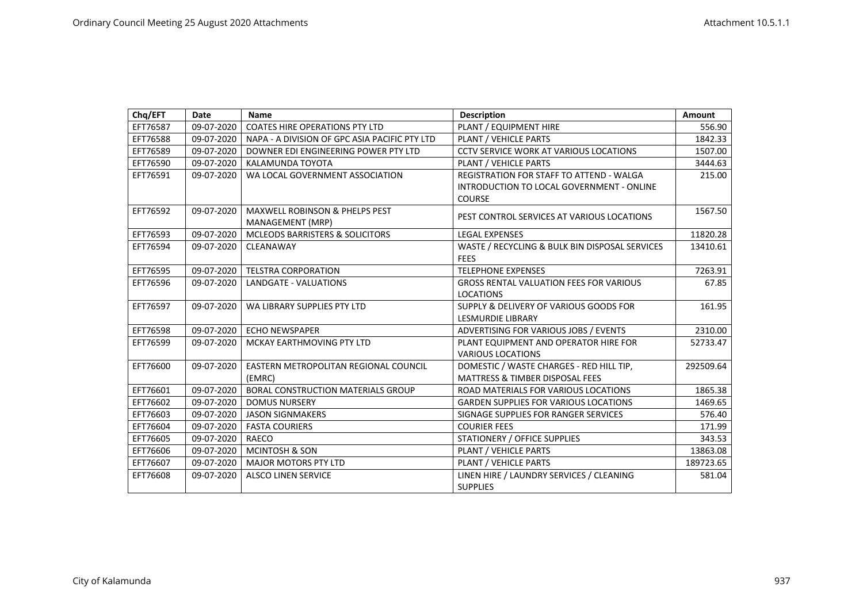| Chq/EFT  | Date       | <b>Name</b>                                   | <b>Description</b>                              | <b>Amount</b> |
|----------|------------|-----------------------------------------------|-------------------------------------------------|---------------|
| EFT76587 | 09-07-2020 | <b>COATES HIRE OPERATIONS PTY LTD</b>         | PLANT / EQUIPMENT HIRE                          | 556.90        |
| EFT76588 | 09-07-2020 | NAPA - A DIVISION OF GPC ASIA PACIFIC PTY LTD | PLANT / VEHICLE PARTS                           | 1842.33       |
| EFT76589 | 09-07-2020 | DOWNER EDI ENGINEERING POWER PTY LTD          | <b>CCTV SERVICE WORK AT VARIOUS LOCATIONS</b>   | 1507.00       |
| EFT76590 | 09-07-2020 | KALAMUNDA TOYOTA                              | PLANT / VEHICLE PARTS                           | 3444.63       |
| EFT76591 | 09-07-2020 | WA LOCAL GOVERNMENT ASSOCIATION               | <b>REGISTRATION FOR STAFF TO ATTEND - WALGA</b> | 215.00        |
|          |            |                                               | INTRODUCTION TO LOCAL GOVERNMENT - ONLINE       |               |
|          |            |                                               | <b>COURSE</b>                                   |               |
| EFT76592 | 09-07-2020 | <b>MAXWELL ROBINSON &amp; PHELPS PEST</b>     | PEST CONTROL SERVICES AT VARIOUS LOCATIONS      | 1567.50       |
|          |            | MANAGEMENT (MRP)                              |                                                 |               |
| EFT76593 | 09-07-2020 | <b>MCLEODS BARRISTERS &amp; SOLICITORS</b>    | <b>LEGAL EXPENSES</b>                           | 11820.28      |
| EFT76594 | 09-07-2020 | CLEANAWAY                                     | WASTE / RECYCLING & BULK BIN DISPOSAL SERVICES  | 13410.61      |
|          |            |                                               | <b>FFFS</b>                                     |               |
| EFT76595 | 09-07-2020 | <b>TELSTRA CORPORATION</b>                    | <b>TELEPHONE EXPENSES</b>                       | 7263.91       |
| EFT76596 | 09-07-2020 | <b>LANDGATE - VALUATIONS</b>                  | <b>GROSS RENTAL VALUATION FEES FOR VARIOUS</b>  | 67.85         |
|          |            |                                               | <b>LOCATIONS</b>                                |               |
| EFT76597 | 09-07-2020 | WA LIBRARY SUPPLIES PTY LTD                   | SUPPLY & DELIVERY OF VARIOUS GOODS FOR          | 161.95        |
|          |            |                                               | <b>LESMURDIE LIBRARY</b>                        |               |
| EFT76598 | 09-07-2020 | <b>ECHO NEWSPAPER</b>                         | ADVERTISING FOR VARIOUS JOBS / EVENTS           | 2310.00       |
| EFT76599 | 09-07-2020 | MCKAY EARTHMOVING PTY LTD                     | PLANT EQUIPMENT AND OPERATOR HIRE FOR           | 52733.47      |
|          |            |                                               | <b>VARIOUS LOCATIONS</b>                        |               |
| EFT76600 | 09-07-2020 | EASTERN METROPOLITAN REGIONAL COUNCIL         | DOMESTIC / WASTE CHARGES - RED HILL TIP,        | 292509.64     |
|          |            | (EMRC)                                        | MATTRESS & TIMBER DISPOSAL FEES                 |               |
| EFT76601 | 09-07-2020 | <b>BORAL CONSTRUCTION MATERIALS GROUP</b>     | ROAD MATERIALS FOR VARIOUS LOCATIONS            | 1865.38       |
| EFT76602 | 09-07-2020 | <b>DOMUS NURSERY</b>                          | <b>GARDEN SUPPLIES FOR VARIOUS LOCATIONS</b>    | 1469.65       |
| EFT76603 | 09-07-2020 | <b>JASON SIGNMAKERS</b>                       | SIGNAGE SUPPLIES FOR RANGER SERVICES            | 576.40        |
| EFT76604 | 09-07-2020 | <b>FASTA COURIERS</b>                         | <b>COURIER FEES</b>                             | 171.99        |
| EFT76605 | 09-07-2020 | RAECO                                         | STATIONERY / OFFICE SUPPLIES                    | 343.53        |
| EFT76606 | 09-07-2020 | <b>MCINTOSH &amp; SON</b>                     | PLANT / VEHICLE PARTS                           | 13863.08      |
| EFT76607 | 09-07-2020 | <b>MAJOR MOTORS PTY LTD</b>                   | PLANT / VEHICLE PARTS                           | 189723.65     |
| EFT76608 | 09-07-2020 | <b>ALSCO LINEN SERVICE</b>                    | LINEN HIRE / LAUNDRY SERVICES / CLEANING        | 581.04        |
|          |            |                                               | <b>SUPPLIES</b>                                 |               |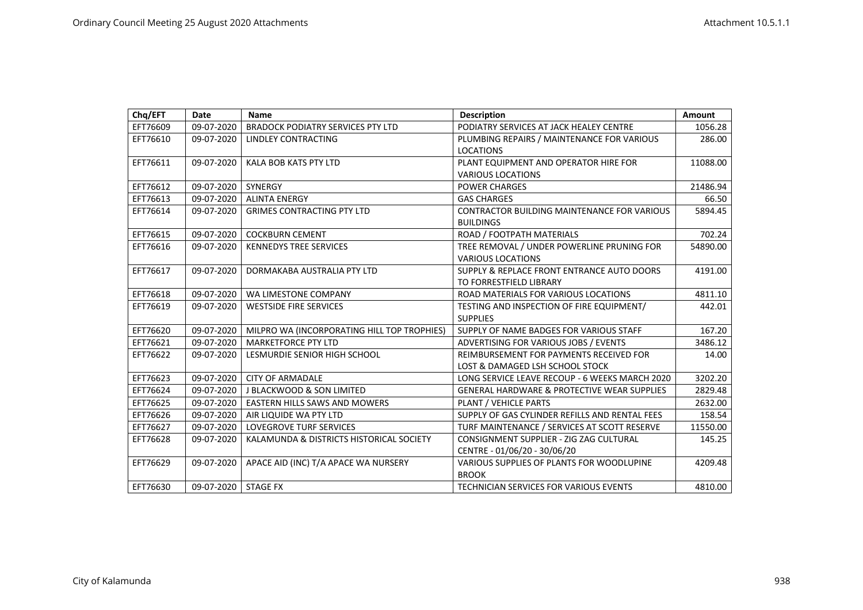| Chq/EFT  | Date       | <b>Name</b>                                 | <b>Description</b>                                     | <b>Amount</b> |
|----------|------------|---------------------------------------------|--------------------------------------------------------|---------------|
| EFT76609 | 09-07-2020 | <b>BRADOCK PODIATRY SERVICES PTY LTD</b>    | PODIATRY SERVICES AT JACK HEALEY CENTRE                | 1056.28       |
| EFT76610 | 09-07-2020 | LINDLEY CONTRACTING                         | PLUMBING REPAIRS / MAINTENANCE FOR VARIOUS             | 286.00        |
|          |            |                                             | <b>LOCATIONS</b>                                       |               |
| EFT76611 | 09-07-2020 | KALA BOB KATS PTY LTD                       | PLANT EQUIPMENT AND OPERATOR HIRE FOR                  | 11088.00      |
|          |            |                                             | <b>VARIOUS LOCATIONS</b>                               |               |
| EFT76612 | 09-07-2020 | SYNERGY                                     | <b>POWER CHARGES</b>                                   | 21486.94      |
| EFT76613 | 09-07-2020 | <b>ALINTA ENERGY</b>                        | <b>GAS CHARGES</b>                                     | 66.50         |
| EFT76614 | 09-07-2020 | <b>GRIMES CONTRACTING PTY LTD</b>           | CONTRACTOR BUILDING MAINTENANCE FOR VARIOUS            | 5894.45       |
|          |            |                                             | <b>BUILDINGS</b>                                       |               |
| EFT76615 | 09-07-2020 | <b>COCKBURN CEMENT</b>                      | ROAD / FOOTPATH MATERIALS                              | 702.24        |
| EFT76616 | 09-07-2020 | <b>KENNEDYS TREE SERVICES</b>               | TREE REMOVAL / UNDER POWERLINE PRUNING FOR             | 54890.00      |
|          |            |                                             | <b>VARIOUS LOCATIONS</b>                               |               |
| EFT76617 | 09-07-2020 | DORMAKABA AUSTRALIA PTY LTD                 | SUPPLY & REPLACE FRONT ENTRANCE AUTO DOORS             | 4191.00       |
|          |            |                                             | TO FORRESTFIELD LIBRARY                                |               |
| EFT76618 | 09-07-2020 | WA LIMESTONE COMPANY                        | ROAD MATERIALS FOR VARIOUS LOCATIONS                   | 4811.10       |
| EFT76619 | 09-07-2020 | <b>WESTSIDE FIRE SERVICES</b>               | TESTING AND INSPECTION OF FIRE EQUIPMENT/              | 442.01        |
|          |            |                                             | <b>SUPPLIES</b>                                        |               |
| EFT76620 | 09-07-2020 | MILPRO WA (INCORPORATING HILL TOP TROPHIES) | SUPPLY OF NAME BADGES FOR VARIOUS STAFF                | 167.20        |
| EFT76621 | 09-07-2020 | <b>MARKETFORCE PTY LTD</b>                  | ADVERTISING FOR VARIOUS JOBS / EVENTS                  | 3486.12       |
| EFT76622 | 09-07-2020 | LESMURDIE SENIOR HIGH SCHOOL                | REIMBURSEMENT FOR PAYMENTS RECEIVED FOR                | 14.00         |
|          |            |                                             | LOST & DAMAGED LSH SCHOOL STOCK                        |               |
| EFT76623 | 09-07-2020 | <b>CITY OF ARMADALE</b>                     | LONG SERVICE LEAVE RECOUP - 6 WEEKS MARCH 2020         | 3202.20       |
| EFT76624 | 09-07-2020 | <b>J BLACKWOOD &amp; SON LIMITED</b>        | <b>GENERAL HARDWARE &amp; PROTECTIVE WEAR SUPPLIES</b> | 2829.48       |
| EFT76625 | 09-07-2020 | EASTERN HILLS SAWS AND MOWERS               | PLANT / VEHICLE PARTS                                  | 2632.00       |
| EFT76626 | 09-07-2020 | AIR LIQUIDE WA PTY LTD                      | SUPPLY OF GAS CYLINDER REFILLS AND RENTAL FEES         | 158.54        |
| EFT76627 | 09-07-2020 | <b>LOVEGROVE TURF SERVICES</b>              | TURF MAINTENANCE / SERVICES AT SCOTT RESERVE           | 11550.00      |
| EFT76628 | 09-07-2020 | KALAMUNDA & DISTRICTS HISTORICAL SOCIETY    | CONSIGNMENT SUPPLIER - ZIG ZAG CULTURAL                | 145.25        |
|          |            |                                             | CENTRE - 01/06/20 - 30/06/20                           |               |
| EFT76629 | 09-07-2020 | APACE AID (INC) T/A APACE WA NURSERY        | VARIOUS SUPPLIES OF PLANTS FOR WOODLUPINE              | 4209.48       |
|          |            |                                             | <b>BROOK</b>                                           |               |
| EFT76630 | 09-07-2020 | <b>STAGE FX</b>                             | <b>TECHNICIAN SERVICES FOR VARIOUS EVENTS</b>          | 4810.00       |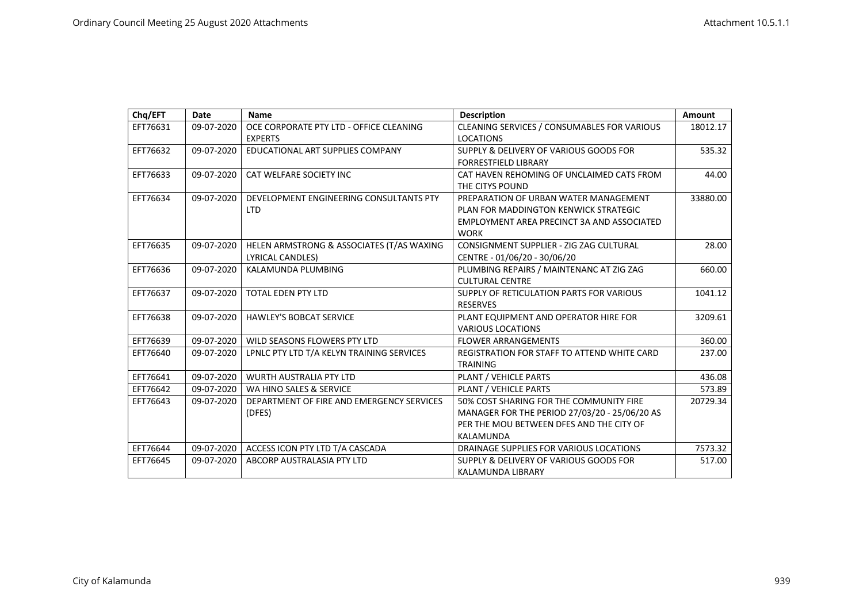| Chq/EFT  | Date       | <b>Name</b>                                                   | <b>Description</b>                                                                                                                                | <b>Amount</b> |
|----------|------------|---------------------------------------------------------------|---------------------------------------------------------------------------------------------------------------------------------------------------|---------------|
| EFT76631 | 09-07-2020 | OCE CORPORATE PTY LTD - OFFICE CLEANING<br><b>EXPERTS</b>     | CLEANING SERVICES / CONSUMABLES FOR VARIOUS<br><b>LOCATIONS</b>                                                                                   | 18012.17      |
| EFT76632 | 09-07-2020 | EDUCATIONAL ART SUPPLIES COMPANY                              | SUPPLY & DELIVERY OF VARIOUS GOODS FOR<br><b>FORRESTFIELD LIBRARY</b>                                                                             | 535.32        |
| EFT76633 | 09-07-2020 | CAT WELFARE SOCIETY INC                                       | CAT HAVEN REHOMING OF UNCLAIMED CATS FROM<br>THE CITYS POUND                                                                                      | 44.00         |
| EFT76634 | 09-07-2020 | DEVELOPMENT ENGINEERING CONSULTANTS PTY<br><b>LTD</b>         | PREPARATION OF URBAN WATER MANAGEMENT<br>PLAN FOR MADDINGTON KENWICK STRATEGIC<br>EMPLOYMENT AREA PRECINCT 3A AND ASSOCIATED<br><b>WORK</b>       | 33880.00      |
| EFT76635 | 09-07-2020 | HELEN ARMSTRONG & ASSOCIATES (T/AS WAXING<br>LYRICAL CANDLES) | CONSIGNMENT SUPPLIER - ZIG ZAG CULTURAL<br>CENTRE - 01/06/20 - 30/06/20                                                                           | 28.00         |
| EFT76636 | 09-07-2020 | KALAMUNDA PLUMBING                                            | PLUMBING REPAIRS / MAINTENANC AT ZIG ZAG<br><b>CULTURAL CENTRE</b>                                                                                | 660.00        |
| EFT76637 | 09-07-2020 | <b>TOTAL EDEN PTY LTD</b>                                     | SUPPLY OF RETICULATION PARTS FOR VARIOUS<br><b>RESERVES</b>                                                                                       | 1041.12       |
| EFT76638 | 09-07-2020 | <b>HAWLEY'S BOBCAT SERVICE</b>                                | PLANT EQUIPMENT AND OPERATOR HIRE FOR<br><b>VARIOUS LOCATIONS</b>                                                                                 | 3209.61       |
| EFT76639 | 09-07-2020 | WILD SEASONS FLOWERS PTY LTD                                  | <b>FLOWER ARRANGEMENTS</b>                                                                                                                        | 360.00        |
| EFT76640 | 09-07-2020 | LPNLC PTY LTD T/A KELYN TRAINING SERVICES                     | REGISTRATION FOR STAFF TO ATTEND WHITE CARD<br><b>TRAINING</b>                                                                                    | 237.00        |
| EFT76641 | 09-07-2020 | <b>WURTH AUSTRALIA PTY LTD</b>                                | PLANT / VEHICLE PARTS                                                                                                                             | 436.08        |
| EFT76642 | 09-07-2020 | WA HINO SALES & SERVICE                                       | PLANT / VEHICLE PARTS                                                                                                                             | 573.89        |
| EFT76643 | 09-07-2020 | DEPARTMENT OF FIRE AND EMERGENCY SERVICES<br>(DFES)           | 50% COST SHARING FOR THE COMMUNITY FIRE<br>MANAGER FOR THE PERIOD 27/03/20 - 25/06/20 AS<br>PER THE MOU BETWEEN DFES AND THE CITY OF<br>KALAMUNDA | 20729.34      |
| EFT76644 | 09-07-2020 | ACCESS ICON PTY LTD T/A CASCADA                               | DRAINAGE SUPPLIES FOR VARIOUS LOCATIONS                                                                                                           | 7573.32       |
| EFT76645 | 09-07-2020 | ABCORP AUSTRALASIA PTY LTD                                    | SUPPLY & DELIVERY OF VARIOUS GOODS FOR<br>KALAMUNDA LIBRARY                                                                                       | 517.00        |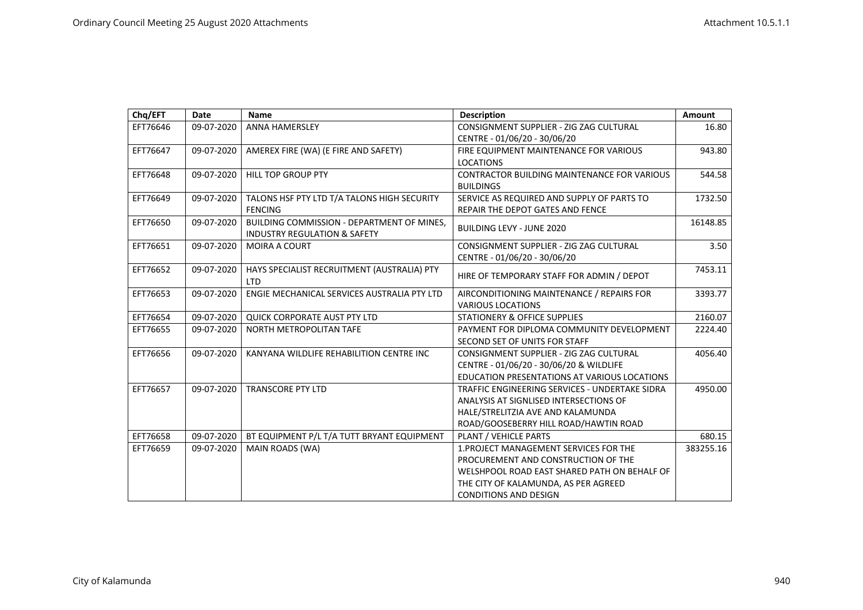| Chq/EFT  | <b>Date</b> | Name                                        | <b>Description</b>                             | Amount    |
|----------|-------------|---------------------------------------------|------------------------------------------------|-----------|
| EFT76646 | 09-07-2020  | <b>ANNA HAMERSLEY</b>                       | CONSIGNMENT SUPPLIER - ZIG ZAG CULTURAL        | 16.80     |
|          |             |                                             | CENTRE - 01/06/20 - 30/06/20                   |           |
| EFT76647 | 09-07-2020  | AMEREX FIRE (WA) (E FIRE AND SAFETY)        | FIRE EQUIPMENT MAINTENANCE FOR VARIOUS         | 943.80    |
|          |             |                                             | <b>LOCATIONS</b>                               |           |
| EFT76648 | 09-07-2020  | <b>HILL TOP GROUP PTY</b>                   | CONTRACTOR BUILDING MAINTENANCE FOR VARIOUS    | 544.58    |
|          |             |                                             | <b>BUILDINGS</b>                               |           |
| EFT76649 | 09-07-2020  | TALONS HSF PTY LTD T/A TALONS HIGH SECURITY | SERVICE AS REQUIRED AND SUPPLY OF PARTS TO     | 1732.50   |
|          |             | <b>FENCING</b>                              | REPAIR THE DEPOT GATES AND FENCE               |           |
| EFT76650 | 09-07-2020  | BUILDING COMMISSION - DEPARTMENT OF MINES,  | <b>BUILDING LEVY - JUNE 2020</b>               | 16148.85  |
|          |             | <b>INDUSTRY REGULATION &amp; SAFETY</b>     |                                                |           |
| EFT76651 | 09-07-2020  | <b>MOIRA A COURT</b>                        | CONSIGNMENT SUPPLIER - ZIG ZAG CULTURAL        | 3.50      |
|          |             |                                             | CENTRE - 01/06/20 - 30/06/20                   |           |
| EFT76652 | 09-07-2020  | HAYS SPECIALIST RECRUITMENT (AUSTRALIA) PTY | HIRE OF TEMPORARY STAFF FOR ADMIN / DEPOT      | 7453.11   |
|          |             | <b>LTD</b>                                  |                                                |           |
| EFT76653 | 09-07-2020  | ENGIE MECHANICAL SERVICES AUSTRALIA PTY LTD | AIRCONDITIONING MAINTENANCE / REPAIRS FOR      | 3393.77   |
|          |             |                                             | <b>VARIOUS LOCATIONS</b>                       |           |
| EFT76654 | 09-07-2020  | <b>QUICK CORPORATE AUST PTY LTD</b>         | <b>STATIONERY &amp; OFFICE SUPPLIES</b>        | 2160.07   |
| EFT76655 | 09-07-2020  | NORTH METROPOLITAN TAFE                     | PAYMENT FOR DIPLOMA COMMUNITY DEVELOPMENT      | 2224.40   |
|          |             |                                             | SECOND SET OF UNITS FOR STAFF                  |           |
| EFT76656 | 09-07-2020  | KANYANA WILDLIFE REHABILITION CENTRE INC    | CONSIGNMENT SUPPLIER - ZIG ZAG CULTURAL        | 4056.40   |
|          |             |                                             | CENTRE - 01/06/20 - 30/06/20 & WILDLIFE        |           |
|          |             |                                             | EDUCATION PRESENTATIONS AT VARIOUS LOCATIONS   |           |
| EFT76657 | 09-07-2020  | <b>TRANSCORE PTY LTD</b>                    | TRAFFIC ENGINEERING SERVICES - UNDERTAKE SIDRA | 4950.00   |
|          |             |                                             | ANALYSIS AT SIGNLISED INTERSECTIONS OF         |           |
|          |             |                                             | HALE/STRELITZIA AVE AND KALAMUNDA              |           |
|          |             |                                             | ROAD/GOOSEBERRY HILL ROAD/HAWTIN ROAD          |           |
| EFT76658 | 09-07-2020  | BT EQUIPMENT P/L T/A TUTT BRYANT EQUIPMENT  | <b>PLANT / VEHICLE PARTS</b>                   | 680.15    |
| EFT76659 | 09-07-2020  | MAIN ROADS (WA)                             | <b>1. PROJECT MANAGEMENT SERVICES FOR THE</b>  | 383255.16 |
|          |             |                                             | PROCUREMENT AND CONSTRUCTION OF THE            |           |
|          |             |                                             | WELSHPOOL ROAD EAST SHARED PATH ON BEHALF OF   |           |
|          |             |                                             | THE CITY OF KALAMUNDA, AS PER AGREED           |           |
|          |             |                                             | <b>CONDITIONS AND DESIGN</b>                   |           |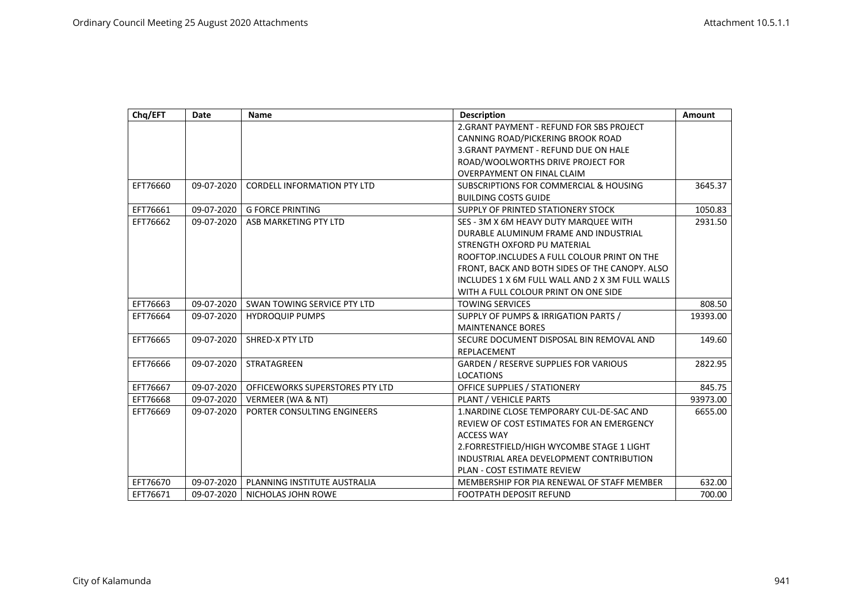| Chq/EFT  | Date       | <b>Name</b>                        | <b>Description</b>                              | Amount   |
|----------|------------|------------------------------------|-------------------------------------------------|----------|
|          |            |                                    | 2. GRANT PAYMENT - REFUND FOR SBS PROJECT       |          |
|          |            |                                    | CANNING ROAD/PICKERING BROOK ROAD               |          |
|          |            |                                    | 3. GRANT PAYMENT - REFUND DUE ON HALE           |          |
|          |            |                                    | ROAD/WOOLWORTHS DRIVE PROJECT FOR               |          |
|          |            |                                    | <b>OVERPAYMENT ON FINAL CLAIM</b>               |          |
| EFT76660 | 09-07-2020 | <b>CORDELL INFORMATION PTY LTD</b> | SUBSCRIPTIONS FOR COMMERCIAL & HOUSING          | 3645.37  |
|          |            |                                    | <b>BUILDING COSTS GUIDE</b>                     |          |
| EFT76661 | 09-07-2020 | <b>G FORCE PRINTING</b>            | SUPPLY OF PRINTED STATIONERY STOCK              | 1050.83  |
| EFT76662 | 09-07-2020 | ASB MARKETING PTY LTD              | SES - 3M X 6M HEAVY DUTY MARQUEE WITH           | 2931.50  |
|          |            |                                    | DURABLE ALUMINUM FRAME AND INDUSTRIAL           |          |
|          |            |                                    | STRENGTH OXFORD PU MATERIAL                     |          |
|          |            |                                    | ROOFTOP. INCLUDES A FULL COLOUR PRINT ON THE    |          |
|          |            |                                    | FRONT, BACK AND BOTH SIDES OF THE CANOPY. ALSO  |          |
|          |            |                                    | INCLUDES 1 X 6M FULL WALL AND 2 X 3M FULL WALLS |          |
|          |            |                                    | WITH A FULL COLOUR PRINT ON ONE SIDE            |          |
| EFT76663 | 09-07-2020 | SWAN TOWING SERVICE PTY LTD        | <b>TOWING SERVICES</b>                          | 808.50   |
| EFT76664 | 09-07-2020 | <b>HYDROQUIP PUMPS</b>             | SUPPLY OF PUMPS & IRRIGATION PARTS /            | 19393.00 |
|          |            |                                    | <b>MAINTENANCE BORES</b>                        |          |
| EFT76665 | 09-07-2020 | <b>SHRED-X PTY LTD</b>             | SECURE DOCUMENT DISPOSAL BIN REMOVAL AND        | 149.60   |
|          |            |                                    | REPLACEMENT                                     |          |
| EFT76666 | 09-07-2020 | STRATAGREEN                        | <b>GARDEN / RESERVE SUPPLIES FOR VARIOUS</b>    | 2822.95  |
|          |            |                                    | <b>LOCATIONS</b>                                |          |
| EFT76667 | 09-07-2020 | OFFICEWORKS SUPERSTORES PTY LTD    | <b>OFFICE SUPPLIES / STATIONERY</b>             | 845.75   |
| EFT76668 | 09-07-2020 | VERMEER (WA & NT)                  | PLANT / VEHICLE PARTS                           | 93973.00 |
| EFT76669 | 09-07-2020 | PORTER CONSULTING ENGINEERS        | 1. NARDINE CLOSE TEMPORARY CUL-DE-SAC AND       | 6655.00  |
|          |            |                                    | REVIEW OF COST ESTIMATES FOR AN EMERGENCY       |          |
|          |            |                                    | <b>ACCESS WAY</b>                               |          |
|          |            |                                    | 2. FORRESTFIELD/HIGH WYCOMBE STAGE 1 LIGHT      |          |
|          |            |                                    | INDUSTRIAL AREA DEVELOPMENT CONTRIBUTION        |          |
|          |            |                                    | <b>PLAN - COST ESTIMATE REVIEW</b>              |          |
| EFT76670 | 09-07-2020 | PLANNING INSTITUTE AUSTRALIA       | MEMBERSHIP FOR PIA RENEWAL OF STAFF MEMBER      | 632.00   |
| EFT76671 | 09-07-2020 | NICHOLAS JOHN ROWE                 | <b>FOOTPATH DEPOSIT REFUND</b>                  | 700.00   |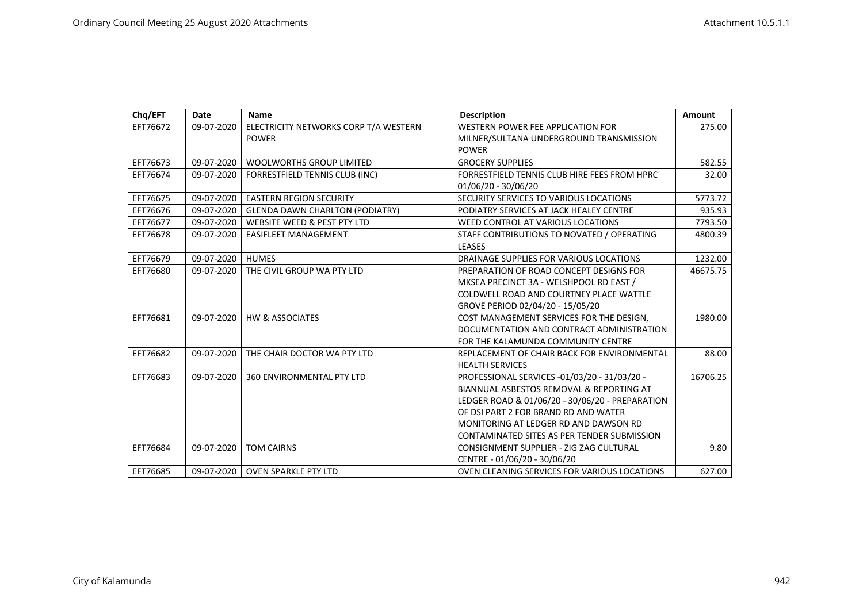| Chq/EFT  | Date       | Name                                   | <b>Description</b>                              | Amount   |
|----------|------------|----------------------------------------|-------------------------------------------------|----------|
| EFT76672 | 09-07-2020 | ELECTRICITY NETWORKS CORP T/A WESTERN  | <b>WESTERN POWER FEE APPLICATION FOR</b>        | 275.00   |
|          |            | <b>POWER</b>                           | MILNER/SULTANA UNDERGROUND TRANSMISSION         |          |
|          |            |                                        | <b>POWER</b>                                    |          |
| EFT76673 | 09-07-2020 | <b>WOOLWORTHS GROUP LIMITED</b>        | <b>GROCERY SUPPLIES</b>                         | 582.55   |
| EFT76674 | 09-07-2020 | FORRESTFIELD TENNIS CLUB (INC)         | FORRESTFIELD TENNIS CLUB HIRE FEES FROM HPRC    | 32.00    |
|          |            |                                        | 01/06/20 - 30/06/20                             |          |
| EFT76675 | 09-07-2020 | <b>EASTERN REGION SECURITY</b>         | SECURITY SERVICES TO VARIOUS LOCATIONS          | 5773.72  |
| EFT76676 | 09-07-2020 | <b>GLENDA DAWN CHARLTON (PODIATRY)</b> | PODIATRY SERVICES AT JACK HEALEY CENTRE         | 935.93   |
| EFT76677 | 09-07-2020 | WEBSITE WEED & PEST PTY LTD            | WEED CONTROL AT VARIOUS LOCATIONS               | 7793.50  |
| EFT76678 | 09-07-2020 | <b>EASIFLEET MANAGEMENT</b>            | STAFF CONTRIBUTIONS TO NOVATED / OPERATING      | 4800.39  |
|          |            |                                        | <b>LEASES</b>                                   |          |
| EFT76679 | 09-07-2020 | <b>HUMES</b>                           | DRAINAGE SUPPLIES FOR VARIOUS LOCATIONS         | 1232.00  |
| EFT76680 | 09-07-2020 | THE CIVIL GROUP WA PTY LTD             | PREPARATION OF ROAD CONCEPT DESIGNS FOR         | 46675.75 |
|          |            |                                        | MKSEA PRECINCT 3A - WELSHPOOL RD EAST /         |          |
|          |            |                                        | COLDWELL ROAD AND COURTNEY PLACE WATTLE         |          |
|          |            |                                        | GROVE PERIOD 02/04/20 - 15/05/20                |          |
| EFT76681 | 09-07-2020 | <b>HW &amp; ASSOCIATES</b>             | COST MANAGEMENT SERVICES FOR THE DESIGN,        | 1980.00  |
|          |            |                                        | DOCUMENTATION AND CONTRACT ADMINISTRATION       |          |
|          |            |                                        | FOR THE KALAMUNDA COMMUNITY CENTRE              |          |
| EFT76682 | 09-07-2020 | THE CHAIR DOCTOR WA PTY LTD            | REPLACEMENT OF CHAIR BACK FOR ENVIRONMENTAL     | 88.00    |
|          |            |                                        | <b>HEALTH SERVICES</b>                          |          |
| EFT76683 | 09-07-2020 | 360 ENVIRONMENTAL PTY LTD              | PROFESSIONAL SERVICES -01/03/20 - 31/03/20 -    | 16706.25 |
|          |            |                                        | BIANNUAL ASBESTOS REMOVAL & REPORTING AT        |          |
|          |            |                                        | LEDGER ROAD & 01/06/20 - 30/06/20 - PREPARATION |          |
|          |            |                                        | OF DSI PART 2 FOR BRAND RD AND WATER            |          |
|          |            |                                        | MONITORING AT LEDGER RD AND DAWSON RD           |          |
|          |            |                                        | CONTAMINATED SITES AS PER TENDER SUBMISSION     |          |
| EFT76684 | 09-07-2020 | <b>TOM CAIRNS</b>                      | CONSIGNMENT SUPPLIER - ZIG ZAG CULTURAL         | 9.80     |
|          |            |                                        | CENTRE - 01/06/20 - 30/06/20                    |          |
| EFT76685 | 09-07-2020 | <b>OVEN SPARKLE PTY LTD</b>            | OVEN CLEANING SERVICES FOR VARIOUS LOCATIONS    | 627.00   |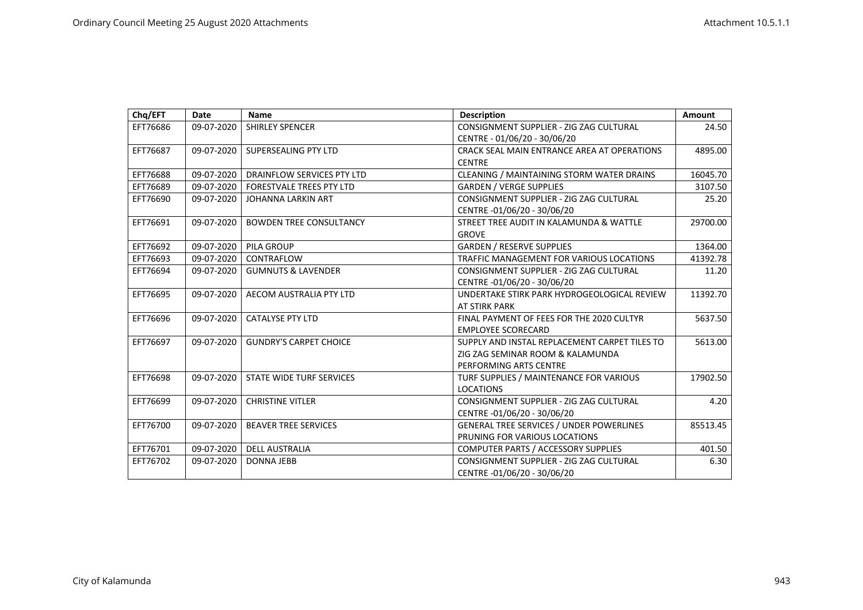| Chq/EFT  | Date       | <b>Name</b>                     | <b>Description</b>                               | <b>Amount</b> |
|----------|------------|---------------------------------|--------------------------------------------------|---------------|
| EFT76686 | 09-07-2020 | SHIRLEY SPENCER                 | CONSIGNMENT SUPPLIER - ZIG ZAG CULTURAL          | 24.50         |
|          |            |                                 | CENTRE - 01/06/20 - 30/06/20                     |               |
| EFT76687 | 09-07-2020 | SUPERSEALING PTY LTD            | CRACK SEAL MAIN ENTRANCE AREA AT OPERATIONS      | 4895.00       |
|          |            |                                 | <b>CENTRE</b>                                    |               |
| EFT76688 | 09-07-2020 | DRAINFLOW SERVICES PTY LTD      | <b>CLEANING / MAINTAINING STORM WATER DRAINS</b> | 16045.70      |
| EFT76689 | 09-07-2020 | <b>FORESTVALE TREES PTY LTD</b> | <b>GARDEN / VERGE SUPPLIES</b>                   | 3107.50       |
| EFT76690 | 09-07-2020 | <b>JOHANNA LARKIN ART</b>       | CONSIGNMENT SUPPLIER - ZIG ZAG CULTURAL          | 25.20         |
|          |            |                                 | CENTRE -01/06/20 - 30/06/20                      |               |
| EFT76691 | 09-07-2020 | <b>BOWDEN TREE CONSULTANCY</b>  | STREET TREE AUDIT IN KALAMUNDA & WATTLE          | 29700.00      |
|          |            |                                 | <b>GROVE</b>                                     |               |
| EFT76692 | 09-07-2020 | <b>PILA GROUP</b>               | <b>GARDEN / RESERVE SUPPLIES</b>                 | 1364.00       |
| EFT76693 | 09-07-2020 | CONTRAFLOW                      | TRAFFIC MANAGEMENT FOR VARIOUS LOCATIONS         | 41392.78      |
| EFT76694 | 09-07-2020 | <b>GUMNUTS &amp; LAVENDER</b>   | CONSIGNMENT SUPPLIER - ZIG ZAG CULTURAL          | 11.20         |
|          |            |                                 | CENTRE -01/06/20 - 30/06/20                      |               |
| EFT76695 | 09-07-2020 | AECOM AUSTRALIA PTY LTD         | UNDERTAKE STIRK PARK HYDROGEOLOGICAL REVIEW      | 11392.70      |
|          |            |                                 | AT STIRK PARK                                    |               |
| EFT76696 | 09-07-2020 | <b>CATALYSE PTY LTD</b>         | FINAL PAYMENT OF FEES FOR THE 2020 CULTYR        | 5637.50       |
|          |            |                                 | <b>EMPLOYEE SCORECARD</b>                        |               |
| EFT76697 | 09-07-2020 | <b>GUNDRY'S CARPET CHOICE</b>   | SUPPLY AND INSTAL REPLACEMENT CARPET TILES TO    | 5613.00       |
|          |            |                                 | ZIG ZAG SEMINAR ROOM & KALAMUNDA                 |               |
|          |            |                                 | PERFORMING ARTS CENTRE                           |               |
| EFT76698 | 09-07-2020 | STATE WIDE TURF SERVICES        | TURF SUPPLIES / MAINTENANCE FOR VARIOUS          | 17902.50      |
|          |            |                                 | <b>LOCATIONS</b>                                 |               |
| EFT76699 | 09-07-2020 | <b>CHRISTINE VITLER</b>         | CONSIGNMENT SUPPLIER - ZIG ZAG CULTURAL          | 4.20          |
|          |            |                                 | CENTRE -01/06/20 - 30/06/20                      |               |
| EFT76700 | 09-07-2020 | <b>BEAVER TREE SERVICES</b>     | <b>GENERAL TREE SERVICES / UNDER POWERLINES</b>  | 85513.45      |
|          |            |                                 | PRUNING FOR VARIOUS LOCATIONS                    |               |
| EFT76701 | 09-07-2020 | <b>DELL AUSTRALIA</b>           | COMPUTER PARTS / ACCESSORY SUPPLIES              | 401.50        |
| EFT76702 | 09-07-2020 | <b>DONNA JEBB</b>               | CONSIGNMENT SUPPLIER - ZIG ZAG CULTURAL          | 6.30          |
|          |            |                                 | CENTRE -01/06/20 - 30/06/20                      |               |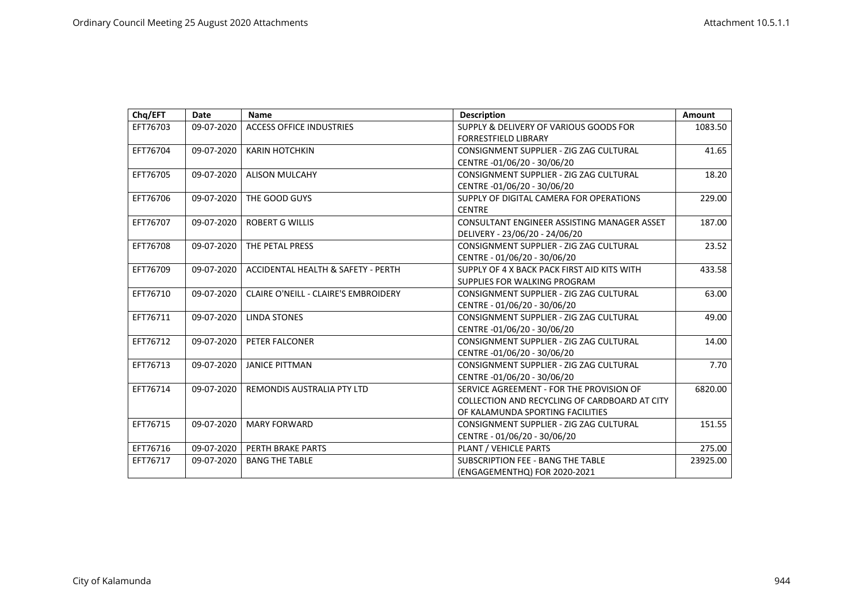| Chq/EFT  | Date       | <b>Name</b>                                   | <b>Description</b>                            | Amount   |
|----------|------------|-----------------------------------------------|-----------------------------------------------|----------|
| EFT76703 | 09-07-2020 | <b>ACCESS OFFICE INDUSTRIES</b>               | SUPPLY & DELIVERY OF VARIOUS GOODS FOR        | 1083.50  |
|          |            |                                               | <b>FORRESTFIELD LIBRARY</b>                   |          |
| EFT76704 | 09-07-2020 | <b>KARIN HOTCHKIN</b>                         | CONSIGNMENT SUPPLIER - ZIG ZAG CULTURAL       | 41.65    |
|          |            |                                               | CENTRE -01/06/20 - 30/06/20                   |          |
| EFT76705 | 09-07-2020 | <b>ALISON MULCAHY</b>                         | CONSIGNMENT SUPPLIER - ZIG ZAG CULTURAL       | 18.20    |
|          |            |                                               | CENTRE -01/06/20 - 30/06/20                   |          |
| EFT76706 | 09-07-2020 | THE GOOD GUYS                                 | SUPPLY OF DIGITAL CAMERA FOR OPERATIONS       | 229.00   |
|          |            |                                               | <b>CENTRE</b>                                 |          |
| EFT76707 | 09-07-2020 | <b>ROBERT G WILLIS</b>                        | CONSULTANT ENGINEER ASSISTING MANAGER ASSET   | 187.00   |
|          |            |                                               | DELIVERY - 23/06/20 - 24/06/20                |          |
| EFT76708 | 09-07-2020 | THE PETAL PRESS                               | CONSIGNMENT SUPPLIER - ZIG ZAG CULTURAL       | 23.52    |
|          |            |                                               | CENTRE - 01/06/20 - 30/06/20                  |          |
| EFT76709 | 09-07-2020 | <b>ACCIDENTAL HEALTH &amp; SAFETY - PERTH</b> | SUPPLY OF 4 X BACK PACK FIRST AID KITS WITH   | 433.58   |
|          |            |                                               | SUPPLIES FOR WALKING PROGRAM                  |          |
| EFT76710 | 09-07-2020 | <b>CLAIRE O'NEILL - CLAIRE'S EMBROIDERY</b>   | CONSIGNMENT SUPPLIER - ZIG ZAG CULTURAL       | 63.00    |
|          |            |                                               | CENTRE - 01/06/20 - 30/06/20                  |          |
| EFT76711 | 09-07-2020 | <b>LINDA STONES</b>                           | CONSIGNMENT SUPPLIER - ZIG ZAG CULTURAL       | 49.00    |
|          |            |                                               | CENTRE -01/06/20 - 30/06/20                   |          |
| EFT76712 | 09-07-2020 | PETER FALCONER                                | CONSIGNMENT SUPPLIER - ZIG ZAG CULTURAL       | 14.00    |
|          |            |                                               | CENTRE -01/06/20 - 30/06/20                   |          |
| EFT76713 | 09-07-2020 | <b>JANICE PITTMAN</b>                         | CONSIGNMENT SUPPLIER - ZIG ZAG CULTURAL       | 7.70     |
|          |            |                                               | CENTRE -01/06/20 - 30/06/20                   |          |
| EFT76714 | 09-07-2020 | REMONDIS AUSTRALIA PTY LTD                    | SERVICE AGREEMENT - FOR THE PROVISION OF      | 6820.00  |
|          |            |                                               | COLLECTION AND RECYCLING OF CARDBOARD AT CITY |          |
|          |            |                                               | OF KALAMUNDA SPORTING FACILITIES              |          |
| EFT76715 | 09-07-2020 | <b>MARY FORWARD</b>                           | CONSIGNMENT SUPPLIER - ZIG ZAG CULTURAL       | 151.55   |
|          |            |                                               | CENTRE - 01/06/20 - 30/06/20                  |          |
| EFT76716 | 09-07-2020 | PERTH BRAKE PARTS                             | PLANT / VEHICLE PARTS                         | 275.00   |
| EFT76717 | 09-07-2020 | <b>BANG THE TABLE</b>                         | <b>SUBSCRIPTION FEE - BANG THE TABLE</b>      | 23925.00 |
|          |            |                                               | (ENGAGEMENTHQ) FOR 2020-2021                  |          |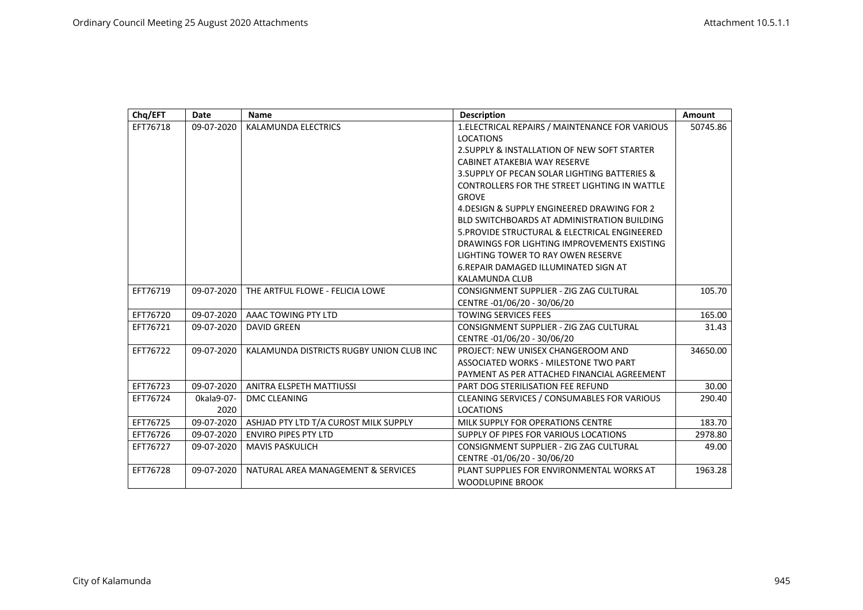| Chq/EFT  | Date       | <b>Name</b>                              | <b>Description</b>                                 | <b>Amount</b> |
|----------|------------|------------------------------------------|----------------------------------------------------|---------------|
| EFT76718 | 09-07-2020 | KALAMUNDA ELECTRICS                      | 1. ELECTRICAL REPAIRS / MAINTENANCE FOR VARIOUS    | 50745.86      |
|          |            |                                          | <b>LOCATIONS</b>                                   |               |
|          |            |                                          | 2. SUPPLY & INSTALLATION OF NEW SOFT STARTER       |               |
|          |            |                                          | CABINET ATAKEBIA WAY RESERVE                       |               |
|          |            |                                          | 3. SUPPLY OF PECAN SOLAR LIGHTING BATTERIES &      |               |
|          |            |                                          | CONTROLLERS FOR THE STREET LIGHTING IN WATTLE      |               |
|          |            |                                          | <b>GROVE</b>                                       |               |
|          |            |                                          | 4. DESIGN & SUPPLY ENGINEERED DRAWING FOR 2        |               |
|          |            |                                          | <b>BLD SWITCHBOARDS AT ADMINISTRATION BUILDING</b> |               |
|          |            |                                          | 5. PROVIDE STRUCTURAL & ELECTRICAL ENGINEERED      |               |
|          |            |                                          | DRAWINGS FOR LIGHTING IMPROVEMENTS EXISTING        |               |
|          |            |                                          | LIGHTING TOWER TO RAY OWEN RESERVE                 |               |
|          |            |                                          | <b>6.REPAIR DAMAGED ILLUMINATED SIGN AT</b>        |               |
|          |            |                                          | <b>KALAMUNDA CLUB</b>                              |               |
| EFT76719 | 09-07-2020 | THE ARTFUL FLOWE - FELICIA LOWE          | CONSIGNMENT SUPPLIER - ZIG ZAG CULTURAL            | 105.70        |
|          |            |                                          | CENTRE -01/06/20 - 30/06/20                        |               |
| EFT76720 | 09-07-2020 | AAAC TOWING PTY LTD                      | <b>TOWING SERVICES FEES</b>                        | 165.00        |
| EFT76721 | 09-07-2020 | <b>DAVID GREEN</b>                       | CONSIGNMENT SUPPLIER - ZIG ZAG CULTURAL            | 31.43         |
|          |            |                                          | CENTRE -01/06/20 - 30/06/20                        |               |
| EFT76722 | 09-07-2020 | KALAMUNDA DISTRICTS RUGBY UNION CLUB INC | PROJECT: NEW UNISEX CHANGEROOM AND                 | 34650.00      |
|          |            |                                          | ASSOCIATED WORKS - MILESTONE TWO PART              |               |
|          |            |                                          | PAYMENT AS PER ATTACHED FINANCIAL AGREEMENT        |               |
| EFT76723 | 09-07-2020 | ANITRA ELSPETH MATTIUSSI                 | PART DOG STERILISATION FEE REFUND                  | 30.00         |
| EFT76724 | 0kala9-07- | <b>DMC CLEANING</b>                      | CLEANING SERVICES / CONSUMABLES FOR VARIOUS        | 290.40        |
|          | 2020       |                                          | <b>LOCATIONS</b>                                   |               |
| EFT76725 | 09-07-2020 | ASHJAD PTY LTD T/A CUROST MILK SUPPLY    | MILK SUPPLY FOR OPERATIONS CENTRE                  | 183.70        |
| EFT76726 | 09-07-2020 | <b>ENVIRO PIPES PTY LTD</b>              | SUPPLY OF PIPES FOR VARIOUS LOCATIONS              | 2978.80       |
| EFT76727 | 09-07-2020 | <b>MAVIS PASKULICH</b>                   | CONSIGNMENT SUPPLIER - ZIG ZAG CULTURAL            | 49.00         |
|          |            |                                          | CENTRE -01/06/20 - 30/06/20                        |               |
| EFT76728 | 09-07-2020 | NATURAL AREA MANAGEMENT & SERVICES       | PLANT SUPPLIES FOR ENVIRONMENTAL WORKS AT          | 1963.28       |
|          |            |                                          | <b>WOODLUPINE BROOK</b>                            |               |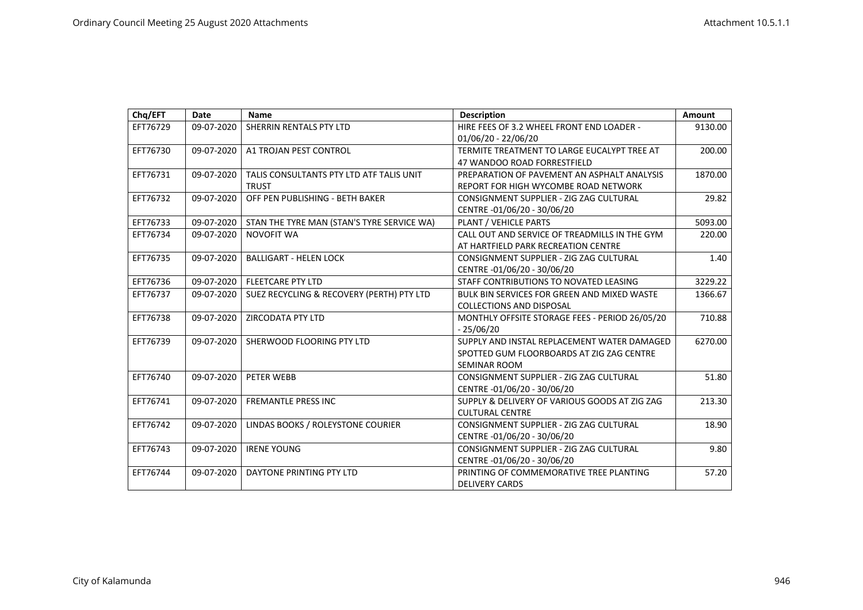| Chq/EFT  | Date       | <b>Name</b>                                              | <b>Description</b>                                                                                              | Amount  |
|----------|------------|----------------------------------------------------------|-----------------------------------------------------------------------------------------------------------------|---------|
| EFT76729 | 09-07-2020 | SHERRIN RENTALS PTY LTD                                  | HIRE FEES OF 3.2 WHEEL FRONT END LOADER -<br>01/06/20 - 22/06/20                                                | 9130.00 |
| EFT76730 | 09-07-2020 | A1 TROJAN PEST CONTROL                                   | TERMITE TREATMENT TO LARGE EUCALYPT TREE AT<br>47 WANDOO ROAD FORRESTFIELD                                      | 200.00  |
| EFT76731 | 09-07-2020 | TALIS CONSULTANTS PTY LTD ATF TALIS UNIT<br><b>TRUST</b> | PREPARATION OF PAVEMENT AN ASPHALT ANALYSIS<br>REPORT FOR HIGH WYCOMBE ROAD NETWORK                             | 1870.00 |
| EFT76732 | 09-07-2020 | OFF PEN PUBLISHING - BETH BAKER                          | CONSIGNMENT SUPPLIER - ZIG ZAG CULTURAL<br>CENTRE -01/06/20 - 30/06/20                                          | 29.82   |
| EFT76733 | 09-07-2020 | STAN THE TYRE MAN (STAN'S TYRE SERVICE WA)               | PLANT / VEHICLE PARTS                                                                                           | 5093.00 |
| EFT76734 | 09-07-2020 | <b>NOVOFIT WA</b>                                        | CALL OUT AND SERVICE OF TREADMILLS IN THE GYM<br>AT HARTFIELD PARK RECREATION CENTRE                            | 220.00  |
| EFT76735 | 09-07-2020 | <b>BALLIGART - HELEN LOCK</b>                            | CONSIGNMENT SUPPLIER - ZIG ZAG CULTURAL<br>CENTRE -01/06/20 - 30/06/20                                          | 1.40    |
| EFT76736 | 09-07-2020 | <b>FLEETCARE PTY LTD</b>                                 | STAFF CONTRIBUTIONS TO NOVATED LEASING                                                                          | 3229.22 |
| EFT76737 | 09-07-2020 | SUEZ RECYCLING & RECOVERY (PERTH) PTY LTD                | <b>BULK BIN SERVICES FOR GREEN AND MIXED WASTE</b><br><b>COLLECTIONS AND DISPOSAL</b>                           | 1366.67 |
| EFT76738 | 09-07-2020 | ZIRCODATA PTY LTD                                        | MONTHLY OFFSITE STORAGE FEES - PERIOD 26/05/20<br>$-25/06/20$                                                   | 710.88  |
| EFT76739 | 09-07-2020 | SHERWOOD FLOORING PTY LTD                                | SUPPLY AND INSTAL REPLACEMENT WATER DAMAGED<br>SPOTTED GUM FLOORBOARDS AT ZIG ZAG CENTRE<br><b>SEMINAR ROOM</b> | 6270.00 |
| EFT76740 | 09-07-2020 | PETER WEBB                                               | CONSIGNMENT SUPPLIER - ZIG ZAG CULTURAL<br>CENTRE -01/06/20 - 30/06/20                                          | 51.80   |
| EFT76741 | 09-07-2020 | FREMANTLE PRESS INC                                      | SUPPLY & DELIVERY OF VARIOUS GOODS AT ZIG ZAG<br><b>CULTURAL CENTRE</b>                                         | 213.30  |
| EFT76742 | 09-07-2020 | LINDAS BOOKS / ROLEYSTONE COURIER                        | CONSIGNMENT SUPPLIER - ZIG ZAG CULTURAL<br>CENTRE -01/06/20 - 30/06/20                                          | 18.90   |
| EFT76743 | 09-07-2020 | <b>IRENE YOUNG</b>                                       | CONSIGNMENT SUPPLIER - ZIG ZAG CULTURAL<br>CENTRE -01/06/20 - 30/06/20                                          | 9.80    |
| EFT76744 | 09-07-2020 | DAYTONE PRINTING PTY LTD                                 | PRINTING OF COMMEMORATIVE TREE PLANTING<br><b>DELIVERY CARDS</b>                                                | 57.20   |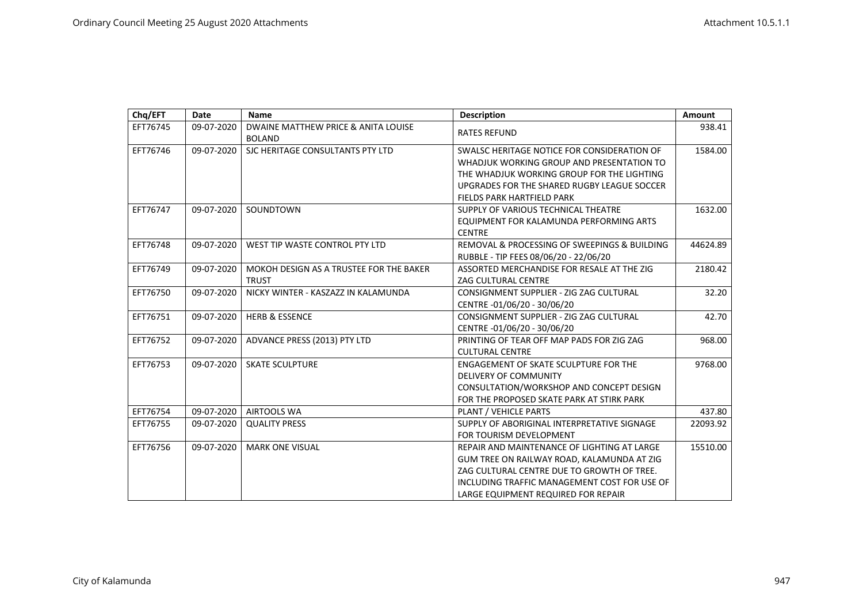| Chq/EFT  | Date       | Name                                                    | <b>Description</b>                                                                                                                                                                                                             | <b>Amount</b> |
|----------|------------|---------------------------------------------------------|--------------------------------------------------------------------------------------------------------------------------------------------------------------------------------------------------------------------------------|---------------|
| EFT76745 | 09-07-2020 | DWAINE MATTHEW PRICE & ANITA LOUISE<br><b>BOLAND</b>    | <b>RATES REFUND</b>                                                                                                                                                                                                            | 938.41        |
| EFT76746 | 09-07-2020 | SJC HERITAGE CONSULTANTS PTY LTD                        | SWALSC HERITAGE NOTICE FOR CONSIDERATION OF<br>WHADJUK WORKING GROUP AND PRESENTATION TO<br>THE WHADJUK WORKING GROUP FOR THE LIGHTING<br>UPGRADES FOR THE SHARED RUGBY LEAGUE SOCCER<br>FIELDS PARK HARTFIELD PARK            | 1584.00       |
| EFT76747 | 09-07-2020 | SOUNDTOWN                                               | SUPPLY OF VARIOUS TECHNICAL THEATRE<br>EQUIPMENT FOR KALAMUNDA PERFORMING ARTS<br><b>CENTRE</b>                                                                                                                                | 1632.00       |
| EFT76748 | 09-07-2020 | WEST TIP WASTE CONTROL PTY LTD                          | REMOVAL & PROCESSING OF SWEEPINGS & BUILDING<br>RUBBLE - TIP FEES 08/06/20 - 22/06/20                                                                                                                                          | 44624.89      |
| EFT76749 | 09-07-2020 | MOKOH DESIGN AS A TRUSTEE FOR THE BAKER<br><b>TRUST</b> | ASSORTED MERCHANDISE FOR RESALE AT THE ZIG<br><b>ZAG CULTURAL CENTRE</b>                                                                                                                                                       | 2180.42       |
| EFT76750 | 09-07-2020 | NICKY WINTER - KASZAZZ IN KALAMUNDA                     | CONSIGNMENT SUPPLIER - ZIG ZAG CULTURAL<br>CENTRE -01/06/20 - 30/06/20                                                                                                                                                         | 32.20         |
| EFT76751 | 09-07-2020 | <b>HERB &amp; ESSENCE</b>                               | CONSIGNMENT SUPPLIER - ZIG ZAG CULTURAL<br>CENTRE -01/06/20 - 30/06/20                                                                                                                                                         | 42.70         |
| EFT76752 | 09-07-2020 | ADVANCE PRESS (2013) PTY LTD                            | PRINTING OF TEAR OFF MAP PADS FOR ZIG ZAG<br><b>CULTURAL CENTRE</b>                                                                                                                                                            | 968.00        |
| EFT76753 | 09-07-2020 | <b>SKATE SCULPTURE</b>                                  | <b>ENGAGEMENT OF SKATE SCULPTURE FOR THE</b><br>DELIVERY OF COMMUNITY<br>CONSULTATION/WORKSHOP AND CONCEPT DESIGN<br>FOR THE PROPOSED SKATE PARK AT STIRK PARK                                                                 | 9768.00       |
| EFT76754 | 09-07-2020 | <b>AIRTOOLS WA</b>                                      | PLANT / VEHICLE PARTS                                                                                                                                                                                                          | 437.80        |
| EFT76755 | 09-07-2020 | <b>QUALITY PRESS</b>                                    | SUPPLY OF ABORIGINAL INTERPRETATIVE SIGNAGE<br>FOR TOURISM DEVELOPMENT                                                                                                                                                         | 22093.92      |
| EFT76756 | 09-07-2020 | <b>MARK ONE VISUAL</b>                                  | REPAIR AND MAINTENANCE OF LIGHTING AT LARGE<br>GUM TREE ON RAILWAY ROAD, KALAMUNDA AT ZIG<br>ZAG CULTURAL CENTRE DUE TO GROWTH OF TREE.<br>INCLUDING TRAFFIC MANAGEMENT COST FOR USE OF<br>LARGE EQUIPMENT REQUIRED FOR REPAIR | 15510.00      |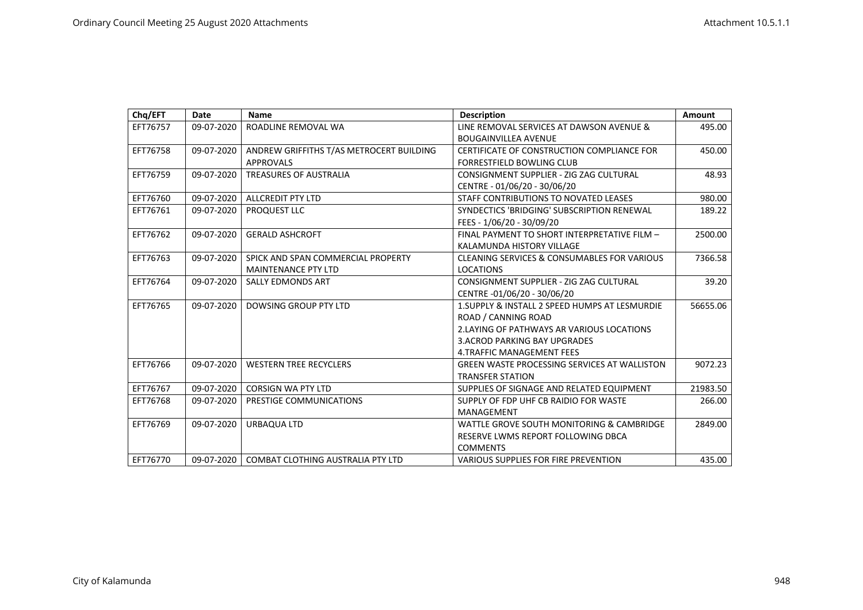| Chq/EFT  | Date       | <b>Name</b>                              | <b>Description</b>                                  | <b>Amount</b> |
|----------|------------|------------------------------------------|-----------------------------------------------------|---------------|
| EFT76757 | 09-07-2020 | ROADLINE REMOVAL WA                      | LINE REMOVAL SERVICES AT DAWSON AVENUE &            | 495.00        |
|          |            |                                          | <b>BOUGAINVILLEA AVENUE</b>                         |               |
| EFT76758 | 09-07-2020 | ANDREW GRIFFITHS T/AS METROCERT BUILDING | CERTIFICATE OF CONSTRUCTION COMPLIANCE FOR          | 450.00        |
|          |            | APPROVALS                                | FORRESTFIELD BOWLING CLUB                           |               |
| EFT76759 | 09-07-2020 | <b>TREASURES OF AUSTRALIA</b>            | CONSIGNMENT SUPPLIER - ZIG ZAG CULTURAL             | 48.93         |
|          |            |                                          | CENTRE - 01/06/20 - 30/06/20                        |               |
| EFT76760 | 09-07-2020 | <b>ALLCREDIT PTY LTD</b>                 | STAFF CONTRIBUTIONS TO NOVATED LEASES               | 980.00        |
| EFT76761 | 09-07-2020 | <b>PROQUEST LLC</b>                      | SYNDECTICS 'BRIDGING' SUBSCRIPTION RENEWAL          | 189.22        |
|          |            |                                          | FEES - 1/06/20 - 30/09/20                           |               |
| EFT76762 | 09-07-2020 | <b>GERALD ASHCROFT</b>                   | FINAL PAYMENT TO SHORT INTERPRETATIVE FILM -        | 2500.00       |
|          |            |                                          | KALAMUNDA HISTORY VILLAGE                           |               |
| EFT76763 | 09-07-2020 | SPICK AND SPAN COMMERCIAL PROPERTY       | CLEANING SERVICES & CONSUMABLES FOR VARIOUS         | 7366.58       |
|          |            | <b>MAINTENANCE PTY LTD</b>               | <b>LOCATIONS</b>                                    |               |
| EFT76764 | 09-07-2020 | <b>SALLY EDMONDS ART</b>                 | CONSIGNMENT SUPPLIER - ZIG ZAG CULTURAL             | 39.20         |
|          |            |                                          | CENTRE -01/06/20 - 30/06/20                         |               |
| EFT76765 | 09-07-2020 | <b>DOWSING GROUP PTY LTD</b>             | 1. SUPPLY & INSTALL 2 SPEED HUMPS AT LESMURDIE      | 56655.06      |
|          |            |                                          | ROAD / CANNING ROAD                                 |               |
|          |            |                                          | 2. LAYING OF PATHWAYS AR VARIOUS LOCATIONS          |               |
|          |            |                                          | <b>3.ACROD PARKING BAY UPGRADES</b>                 |               |
|          |            |                                          | 4. TRAFFIC MANAGEMENT FEES                          |               |
| EFT76766 | 09-07-2020 | <b>WESTERN TREE RECYCLERS</b>            | <b>GREEN WASTE PROCESSING SERVICES AT WALLISTON</b> | 9072.23       |
|          |            |                                          | <b>TRANSFER STATION</b>                             |               |
| EFT76767 | 09-07-2020 | <b>CORSIGN WA PTY LTD</b>                | SUPPLIES OF SIGNAGE AND RELATED EQUIPMENT           | 21983.50      |
| EFT76768 | 09-07-2020 | PRESTIGE COMMUNICATIONS                  | SUPPLY OF FDP UHF CB RAIDIO FOR WASTE               | 266.00        |
|          |            |                                          | MANAGEMENT                                          |               |
| EFT76769 | 09-07-2020 | <b>URBAQUA LTD</b>                       | WATTLE GROVE SOUTH MONITORING & CAMBRIDGE           | 2849.00       |
|          |            |                                          | RESERVE LWMS REPORT FOLLOWING DBCA                  |               |
|          |            |                                          | <b>COMMENTS</b>                                     |               |
| EFT76770 | 09-07-2020 | COMBAT CLOTHING AUSTRALIA PTY LTD        | <b>VARIOUS SUPPLIES FOR FIRE PREVENTION</b>         | 435.00        |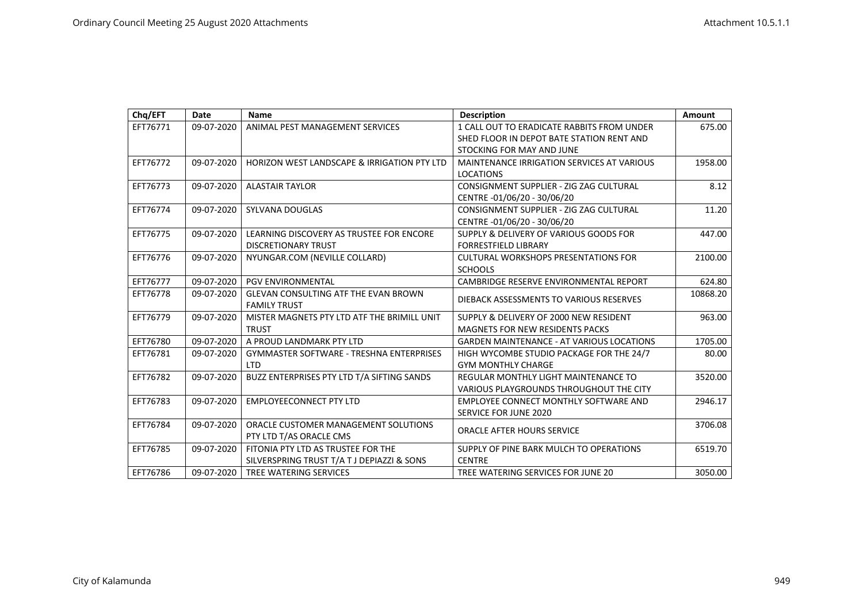| Chq/EFT  | Date       | <b>Name</b>                                            | <b>Description</b>                               | Amount   |
|----------|------------|--------------------------------------------------------|--------------------------------------------------|----------|
| EFT76771 | 09-07-2020 | ANIMAL PEST MANAGEMENT SERVICES                        | 1 CALL OUT TO ERADICATE RABBITS FROM UNDER       | 675.00   |
|          |            |                                                        | SHED FLOOR IN DEPOT BATE STATION RENT AND        |          |
|          |            |                                                        | STOCKING FOR MAY AND JUNE                        |          |
| EFT76772 | 09-07-2020 | <b>HORIZON WEST LANDSCAPE &amp; IRRIGATION PTY LTD</b> | MAINTENANCE IRRIGATION SERVICES AT VARIOUS       | 1958.00  |
|          |            |                                                        | <b>LOCATIONS</b>                                 |          |
| EFT76773 | 09-07-2020 | <b>ALASTAIR TAYLOR</b>                                 | CONSIGNMENT SUPPLIER - ZIG ZAG CULTURAL          | 8.12     |
|          |            |                                                        | CENTRE -01/06/20 - 30/06/20                      |          |
| EFT76774 | 09-07-2020 | SYLVANA DOUGLAS                                        | CONSIGNMENT SUPPLIER - ZIG ZAG CULTURAL          | 11.20    |
|          |            |                                                        | CENTRE -01/06/20 - 30/06/20                      |          |
| EFT76775 | 09-07-2020 | LEARNING DISCOVERY AS TRUSTEE FOR ENCORE               | SUPPLY & DELIVERY OF VARIOUS GOODS FOR           | 447.00   |
|          |            | DISCRETIONARY TRUST                                    | <b>FORRESTFIELD LIBRARY</b>                      |          |
| EFT76776 | 09-07-2020 | NYUNGAR.COM (NEVILLE COLLARD)                          | <b>CULTURAL WORKSHOPS PRESENTATIONS FOR</b>      | 2100.00  |
|          |            |                                                        | <b>SCHOOLS</b>                                   |          |
| EFT76777 | 09-07-2020 | <b>PGV ENVIRONMENTAL</b>                               | CAMBRIDGE RESERVE ENVIRONMENTAL REPORT           | 624.80   |
| EFT76778 | 09-07-2020 | <b>GLEVAN CONSULTING ATF THE EVAN BROWN</b>            | DIEBACK ASSESSMENTS TO VARIOUS RESERVES          | 10868.20 |
|          |            | <b>FAMILY TRUST</b>                                    |                                                  |          |
| EFT76779 | 09-07-2020 | MISTER MAGNETS PTY LTD ATF THE BRIMILL UNIT            | SUPPLY & DELIVERY OF 2000 NEW RESIDENT           | 963.00   |
|          |            | <b>TRUST</b>                                           | <b>MAGNETS FOR NEW RESIDENTS PACKS</b>           |          |
| EFT76780 | 09-07-2020 | A PROUD LANDMARK PTY LTD                               | <b>GARDEN MAINTENANCE - AT VARIOUS LOCATIONS</b> | 1705.00  |
| EFT76781 | 09-07-2020 | <b>GYMMASTER SOFTWARE - TRESHNA ENTERPRISES</b>        | HIGH WYCOMBE STUDIO PACKAGE FOR THE 24/7         | 80.00    |
|          |            | <b>LTD</b>                                             | <b>GYM MONTHLY CHARGE</b>                        |          |
| EFT76782 | 09-07-2020 | BUZZ ENTERPRISES PTY LTD T/A SIFTING SANDS             | <b>REGULAR MONTHLY LIGHT MAINTENANCE TO</b>      | 3520.00  |
|          |            |                                                        | VARIOUS PLAYGROUNDS THROUGHOUT THE CITY          |          |
| EFT76783 | 09-07-2020 | <b>EMPLOYEECONNECT PTY LTD</b>                         | EMPLOYEE CONNECT MONTHLY SOFTWARE AND            | 2946.17  |
|          |            |                                                        | SERVICE FOR JUNE 2020                            |          |
| EFT76784 | 09-07-2020 | ORACLE CUSTOMER MANAGEMENT SOLUTIONS                   | <b>ORACLE AFTER HOURS SERVICE</b>                | 3706.08  |
|          |            | PTY LTD T/AS ORACLE CMS                                |                                                  |          |
| EFT76785 | 09-07-2020 | FITONIA PTY LTD AS TRUSTEE FOR THE                     | SUPPLY OF PINE BARK MULCH TO OPERATIONS          | 6519.70  |
|          |            | SILVERSPRING TRUST T/A T J DEPIAZZI & SONS             | <b>CENTRE</b>                                    |          |
| EFT76786 | 09-07-2020 | TREE WATERING SERVICES                                 | TREE WATERING SERVICES FOR JUNE 20               | 3050.00  |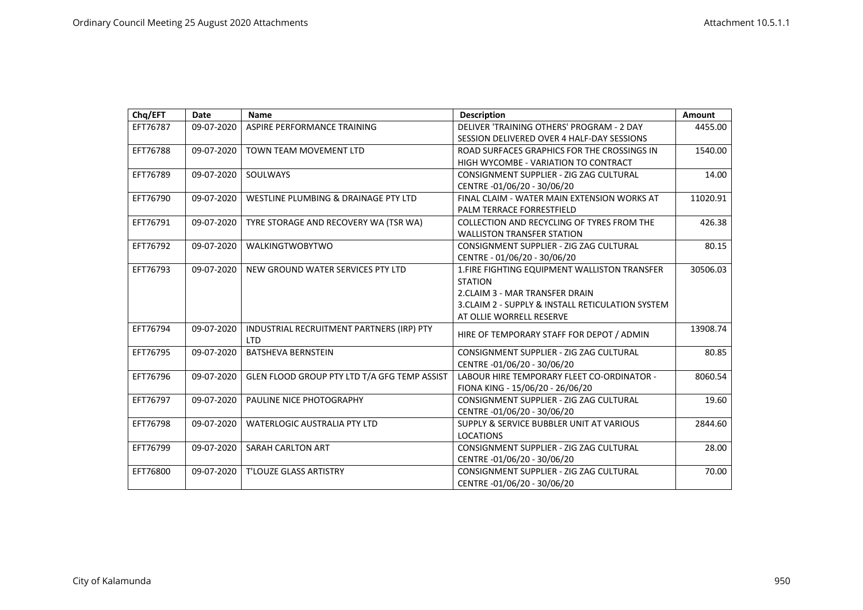| Chq/EFT  | Date       | Name                                                    | <b>Description</b>                                                                                                                                                                  | Amount   |
|----------|------------|---------------------------------------------------------|-------------------------------------------------------------------------------------------------------------------------------------------------------------------------------------|----------|
| EFT76787 | 09-07-2020 | ASPIRE PERFORMANCE TRAINING                             | DELIVER 'TRAINING OTHERS' PROGRAM - 2 DAY<br>SESSION DELIVERED OVER 4 HALF-DAY SESSIONS                                                                                             | 4455.00  |
| EFT76788 | 09-07-2020 | <b>TOWN TEAM MOVEMENT LTD</b>                           | ROAD SURFACES GRAPHICS FOR THE CROSSINGS IN<br>HIGH WYCOMBE - VARIATION TO CONTRACT                                                                                                 | 1540.00  |
| EFT76789 | 09-07-2020 | SOULWAYS                                                | CONSIGNMENT SUPPLIER - ZIG ZAG CULTURAL<br>CENTRE -01/06/20 - 30/06/20                                                                                                              | 14.00    |
| EFT76790 | 09-07-2020 | WESTLINE PLUMBING & DRAINAGE PTY LTD                    | FINAL CLAIM - WATER MAIN EXTENSION WORKS AT<br>PALM TERRACE FORRESTFIELD                                                                                                            | 11020.91 |
| EFT76791 | 09-07-2020 | TYRE STORAGE AND RECOVERY WA (TSR WA)                   | COLLECTION AND RECYCLING OF TYRES FROM THE<br><b>WALLISTON TRANSFER STATION</b>                                                                                                     | 426.38   |
| EFT76792 | 09-07-2020 | <b>WALKINGTWOBYTWO</b>                                  | CONSIGNMENT SUPPLIER - ZIG ZAG CULTURAL<br>CENTRE - 01/06/20 - 30/06/20                                                                                                             | 80.15    |
| EFT76793 | 09-07-2020 | NEW GROUND WATER SERVICES PTY LTD                       | 1. FIRE FIGHTING EQUIPMENT WALLISTON TRANSFER<br><b>STATION</b><br>2. CLAIM 3 - MAR TRANSFER DRAIN<br>3. CLAIM 2 - SUPPLY & INSTALL RETICULATION SYSTEM<br>AT OLLIE WORRELL RESERVE | 30506.03 |
| EFT76794 | 09-07-2020 | INDUSTRIAL RECRUITMENT PARTNERS (IRP) PTY<br><b>LTD</b> | HIRE OF TEMPORARY STAFF FOR DEPOT / ADMIN                                                                                                                                           | 13908.74 |
| EFT76795 | 09-07-2020 | <b>BATSHEVA BERNSTEIN</b>                               | CONSIGNMENT SUPPLIER - ZIG ZAG CULTURAL<br>CENTRE -01/06/20 - 30/06/20                                                                                                              | 80.85    |
| EFT76796 | 09-07-2020 | GLEN FLOOD GROUP PTY LTD T/A GFG TEMP ASSIST            | LABOUR HIRE TEMPORARY FLEET CO-ORDINATOR -<br>FIONA KING - 15/06/20 - 26/06/20                                                                                                      | 8060.54  |
| EFT76797 | 09-07-2020 | PAULINE NICE PHOTOGRAPHY                                | CONSIGNMENT SUPPLIER - ZIG ZAG CULTURAL<br>CENTRE -01/06/20 - 30/06/20                                                                                                              | 19.60    |
| EFT76798 | 09-07-2020 | <b>WATERLOGIC AUSTRALIA PTY LTD</b>                     | SUPPLY & SERVICE BUBBLER UNIT AT VARIOUS<br><b>LOCATIONS</b>                                                                                                                        | 2844.60  |
| EFT76799 | 09-07-2020 | SARAH CARLTON ART                                       | CONSIGNMENT SUPPLIER - ZIG ZAG CULTURAL<br>CENTRE -01/06/20 - 30/06/20                                                                                                              | 28.00    |
| EFT76800 | 09-07-2020 | <b>T'LOUZE GLASS ARTISTRY</b>                           | CONSIGNMENT SUPPLIER - ZIG ZAG CULTURAL<br>CENTRE -01/06/20 - 30/06/20                                                                                                              | 70.00    |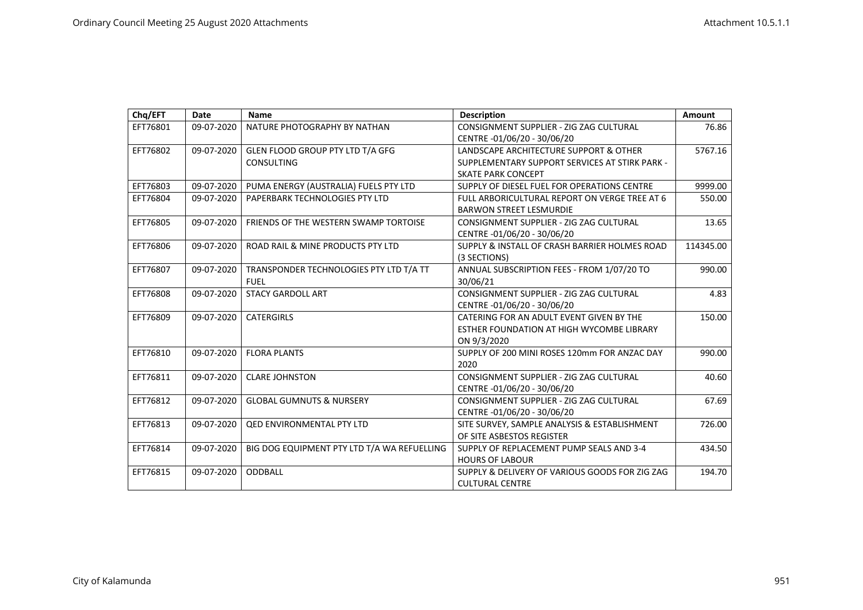| Chq/EFT  | Date       | Name                                        | <b>Description</b>                             | <b>Amount</b> |
|----------|------------|---------------------------------------------|------------------------------------------------|---------------|
| EFT76801 | 09-07-2020 | NATURE PHOTOGRAPHY BY NATHAN                | CONSIGNMENT SUPPLIER - ZIG ZAG CULTURAL        | 76.86         |
|          |            |                                             | CENTRE -01/06/20 - 30/06/20                    |               |
| EFT76802 | 09-07-2020 | GLEN FLOOD GROUP PTY LTD T/A GFG            | LANDSCAPE ARCHITECTURE SUPPORT & OTHER         | 5767.16       |
|          |            | <b>CONSULTING</b>                           | SUPPLEMENTARY SUPPORT SERVICES AT STIRK PARK - |               |
|          |            |                                             | <b>SKATE PARK CONCEPT</b>                      |               |
| EFT76803 | 09-07-2020 | PUMA ENERGY (AUSTRALIA) FUELS PTY LTD       | SUPPLY OF DIESEL FUEL FOR OPERATIONS CENTRE    | 9999.00       |
| EFT76804 | 09-07-2020 | PAPERBARK TECHNOLOGIES PTY LTD              | FULL ARBORICULTURAL REPORT ON VERGE TREE AT 6  | 550.00        |
|          |            |                                             | <b>BARWON STREET LESMURDIE</b>                 |               |
| EFT76805 | 09-07-2020 | FRIENDS OF THE WESTERN SWAMP TORTOISE       | CONSIGNMENT SUPPLIER - ZIG ZAG CULTURAL        | 13.65         |
|          |            |                                             | CENTRE -01/06/20 - 30/06/20                    |               |
| EFT76806 | 09-07-2020 | ROAD RAIL & MINE PRODUCTS PTY LTD           | SUPPLY & INSTALL OF CRASH BARRIER HOLMES ROAD  | 114345.00     |
|          |            |                                             | (3 SECTIONS)                                   |               |
| EFT76807 | 09-07-2020 | TRANSPONDER TECHNOLOGIES PTY LTD T/A TT     | ANNUAL SUBSCRIPTION FEES - FROM 1/07/20 TO     | 990.00        |
|          |            | <b>FUEL</b>                                 | 30/06/21                                       |               |
| EFT76808 | 09-07-2020 | <b>STACY GARDOLL ART</b>                    | CONSIGNMENT SUPPLIER - ZIG ZAG CULTURAL        | 4.83          |
|          |            |                                             | CENTRE -01/06/20 - 30/06/20                    |               |
| EFT76809 | 09-07-2020 | <b>CATERGIRLS</b>                           | CATERING FOR AN ADULT EVENT GIVEN BY THE       | 150.00        |
|          |            |                                             | ESTHER FOUNDATION AT HIGH WYCOMBE LIBRARY      |               |
|          |            |                                             | ON 9/3/2020                                    |               |
| EFT76810 | 09-07-2020 | <b>FLORA PLANTS</b>                         | SUPPLY OF 200 MINI ROSES 120mm FOR ANZAC DAY   | 990.00        |
|          |            |                                             | 2020                                           |               |
| EFT76811 | 09-07-2020 | <b>CLARE JOHNSTON</b>                       | CONSIGNMENT SUPPLIER - ZIG ZAG CULTURAL        | 40.60         |
|          |            |                                             | CENTRE -01/06/20 - 30/06/20                    |               |
| EFT76812 | 09-07-2020 | <b>GLOBAL GUMNUTS &amp; NURSERY</b>         | CONSIGNMENT SUPPLIER - ZIG ZAG CULTURAL        | 67.69         |
|          |            |                                             | CENTRE -01/06/20 - 30/06/20                    |               |
| EFT76813 | 09-07-2020 | <b>QED ENVIRONMENTAL PTY LTD</b>            | SITE SURVEY, SAMPLE ANALYSIS & ESTABLISHMENT   | 726.00        |
|          |            |                                             | OF SITE ASBESTOS REGISTER                      |               |
| EFT76814 | 09-07-2020 | BIG DOG EQUIPMENT PTY LTD T/A WA REFUELLING | SUPPLY OF REPLACEMENT PUMP SEALS AND 3-4       | 434.50        |
|          |            |                                             | <b>HOURS OF LABOUR</b>                         |               |
| EFT76815 | 09-07-2020 | <b>ODDBALL</b>                              | SUPPLY & DELIVERY OF VARIOUS GOODS FOR ZIG ZAG | 194.70        |
|          |            |                                             | <b>CULTURAL CENTRE</b>                         |               |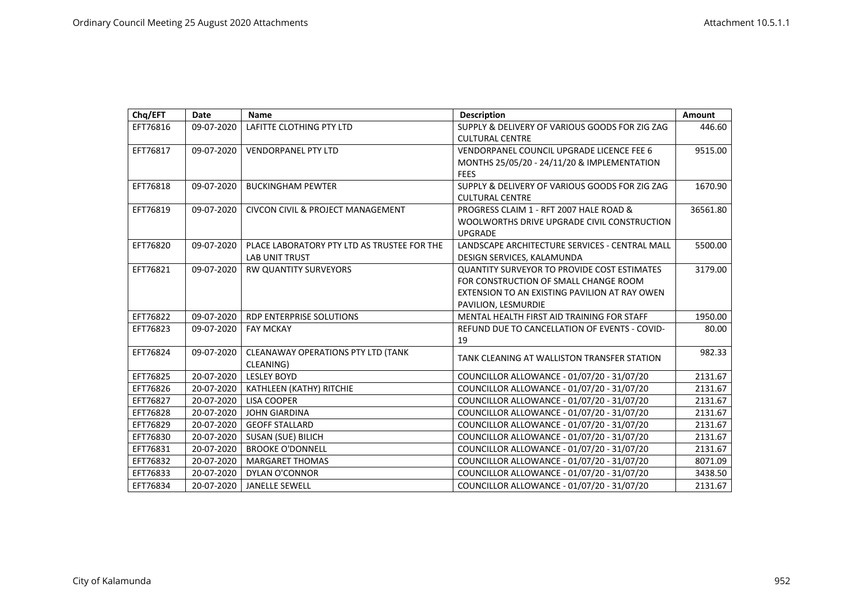| Chq/EFT  | Date       | <b>Name</b>                                                          | <b>Description</b>                                                                                                                                                  | Amount   |
|----------|------------|----------------------------------------------------------------------|---------------------------------------------------------------------------------------------------------------------------------------------------------------------|----------|
| EFT76816 | 09-07-2020 | LAFITTE CLOTHING PTY LTD                                             | SUPPLY & DELIVERY OF VARIOUS GOODS FOR ZIG ZAG<br><b>CULTURAL CENTRE</b>                                                                                            | 446.60   |
| EFT76817 | 09-07-2020 | <b>VENDORPANEL PTY LTD</b>                                           | VENDORPANEL COUNCIL UPGRADE LICENCE FEE 6<br>MONTHS 25/05/20 - 24/11/20 & IMPLEMENTATION<br><b>FEES</b>                                                             | 9515.00  |
| EFT76818 | 09-07-2020 | <b>BUCKINGHAM PEWTER</b>                                             | SUPPLY & DELIVERY OF VARIOUS GOODS FOR ZIG ZAG<br><b>CULTURAL CENTRE</b>                                                                                            | 1670.90  |
| EFT76819 | 09-07-2020 | <b>CIVCON CIVIL &amp; PROJECT MANAGEMENT</b>                         | PROGRESS CLAIM 1 - RFT 2007 HALE ROAD &<br>WOOLWORTHS DRIVE UPGRADE CIVIL CONSTRUCTION<br><b>UPGRADE</b>                                                            | 36561.80 |
| EFT76820 | 09-07-2020 | PLACE LABORATORY PTY LTD AS TRUSTEE FOR THE<br><b>LAB UNIT TRUST</b> | LANDSCAPE ARCHITECTURE SERVICES - CENTRAL MALL<br>DESIGN SERVICES, KALAMUNDA                                                                                        | 5500.00  |
| EFT76821 | 09-07-2020 | <b>RW QUANTITY SURVEYORS</b>                                         | <b>QUANTITY SURVEYOR TO PROVIDE COST ESTIMATES</b><br>FOR CONSTRUCTION OF SMALL CHANGE ROOM<br>EXTENSION TO AN EXISTING PAVILION AT RAY OWEN<br>PAVILION, LESMURDIE | 3179.00  |
| EFT76822 | 09-07-2020 | <b>RDP ENTERPRISE SOLUTIONS</b>                                      | MENTAL HEALTH FIRST AID TRAINING FOR STAFF                                                                                                                          | 1950.00  |
| EFT76823 | 09-07-2020 | <b>FAY MCKAY</b>                                                     | REFUND DUE TO CANCELLATION OF EVENTS - COVID-<br>19                                                                                                                 | 80.00    |
| EFT76824 | 09-07-2020 | <b>CLEANAWAY OPERATIONS PTY LTD (TANK</b><br>CLEANING)               | TANK CLEANING AT WALLISTON TRANSFER STATION                                                                                                                         | 982.33   |
| EFT76825 | 20-07-2020 | <b>LESLEY BOYD</b>                                                   | COUNCILLOR ALLOWANCE - 01/07/20 - 31/07/20                                                                                                                          | 2131.67  |
| EFT76826 | 20-07-2020 | KATHLEEN (KATHY) RITCHIE                                             | COUNCILLOR ALLOWANCE - 01/07/20 - 31/07/20                                                                                                                          | 2131.67  |
| EFT76827 | 20-07-2020 | <b>LISA COOPER</b>                                                   | COUNCILLOR ALLOWANCE - 01/07/20 - 31/07/20                                                                                                                          | 2131.67  |
| EFT76828 | 20-07-2020 | <b>JOHN GIARDINA</b>                                                 | COUNCILLOR ALLOWANCE - 01/07/20 - 31/07/20                                                                                                                          | 2131.67  |
| EFT76829 | 20-07-2020 | <b>GEOFF STALLARD</b>                                                | COUNCILLOR ALLOWANCE - 01/07/20 - 31/07/20                                                                                                                          | 2131.67  |
| EFT76830 | 20-07-2020 | SUSAN (SUE) BILICH                                                   | COUNCILLOR ALLOWANCE - 01/07/20 - 31/07/20                                                                                                                          | 2131.67  |
| EFT76831 | 20-07-2020 | <b>BROOKE O'DONNELL</b>                                              | COUNCILLOR ALLOWANCE - 01/07/20 - 31/07/20                                                                                                                          | 2131.67  |
| EFT76832 | 20-07-2020 | <b>MARGARET THOMAS</b>                                               | COUNCILLOR ALLOWANCE - 01/07/20 - 31/07/20                                                                                                                          | 8071.09  |
| EFT76833 | 20-07-2020 | DYLAN O'CONNOR                                                       | COUNCILLOR ALLOWANCE - 01/07/20 - 31/07/20                                                                                                                          | 3438.50  |
| EFT76834 | 20-07-2020 | <b>JANELLE SEWELL</b>                                                | COUNCILLOR ALLOWANCE - 01/07/20 - 31/07/20                                                                                                                          | 2131.67  |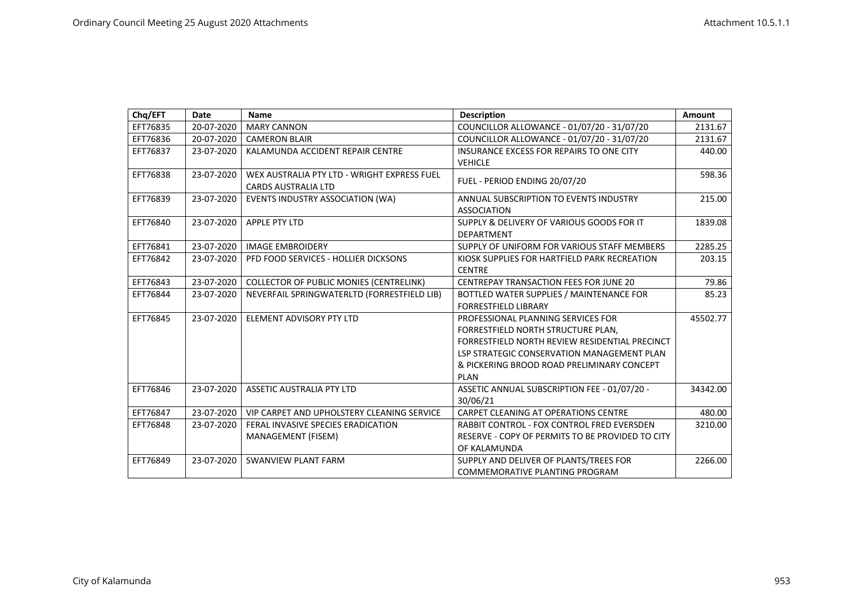| Chq/EFT  | Date       | <b>Name</b>                                    | <b>Description</b>                               | Amount   |
|----------|------------|------------------------------------------------|--------------------------------------------------|----------|
| EFT76835 | 20-07-2020 | <b>MARY CANNON</b>                             | COUNCILLOR ALLOWANCE - 01/07/20 - 31/07/20       | 2131.67  |
| EFT76836 | 20-07-2020 | <b>CAMERON BLAIR</b>                           | COUNCILLOR ALLOWANCE - 01/07/20 - 31/07/20       | 2131.67  |
| EFT76837 | 23-07-2020 | KALAMUNDA ACCIDENT REPAIR CENTRE               | <b>INSURANCE EXCESS FOR REPAIRS TO ONE CITY</b>  | 440.00   |
|          |            |                                                | <b>VEHICLE</b>                                   |          |
| EFT76838 | 23-07-2020 | WEX AUSTRALIA PTY LTD - WRIGHT EXPRESS FUEL    | FUEL - PERIOD ENDING 20/07/20                    | 598.36   |
|          |            | <b>CARDS AUSTRALIA LTD</b>                     |                                                  |          |
| EFT76839 | 23-07-2020 | EVENTS INDUSTRY ASSOCIATION (WA)               | ANNUAL SUBSCRIPTION TO EVENTS INDUSTRY           | 215.00   |
|          |            |                                                | <b>ASSOCIATION</b>                               |          |
| EFT76840 | 23-07-2020 | <b>APPLE PTY LTD</b>                           | SUPPLY & DELIVERY OF VARIOUS GOODS FOR IT        | 1839.08  |
|          |            |                                                | DEPARTMENT                                       |          |
| EFT76841 | 23-07-2020 | <b>IMAGE EMBROIDERY</b>                        | SUPPLY OF UNIFORM FOR VARIOUS STAFF MEMBERS      | 2285.25  |
| EFT76842 | 23-07-2020 | PFD FOOD SERVICES - HOLLIER DICKSONS           | KIOSK SUPPLIES FOR HARTFIELD PARK RECREATION     | 203.15   |
|          |            |                                                | <b>CENTRE</b>                                    |          |
| EFT76843 | 23-07-2020 | <b>COLLECTOR OF PUBLIC MONIES (CENTRELINK)</b> | <b>CENTREPAY TRANSACTION FEES FOR JUNE 20</b>    | 79.86    |
| EFT76844 | 23-07-2020 | NEVERFAIL SPRINGWATERLTD (FORRESTFIELD LIB)    | BOTTLED WATER SUPPLIES / MAINTENANCE FOR         | 85.23    |
|          |            |                                                | <b>FORRESTFIELD LIBRARY</b>                      |          |
| EFT76845 | 23-07-2020 | ELEMENT ADVISORY PTY LTD                       | PROFESSIONAL PLANNING SERVICES FOR               | 45502.77 |
|          |            |                                                | FORRESTFIELD NORTH STRUCTURE PLAN,               |          |
|          |            |                                                | FORRESTFIELD NORTH REVIEW RESIDENTIAL PRECINCT   |          |
|          |            |                                                | LSP STRATEGIC CONSERVATION MANAGEMENT PLAN       |          |
|          |            |                                                | & PICKERING BROOD ROAD PRELIMINARY CONCEPT       |          |
|          |            |                                                | PLAN                                             |          |
| EFT76846 | 23-07-2020 | <b>ASSETIC AUSTRALIA PTY LTD</b>               | ASSETIC ANNUAL SUBSCRIPTION FEE - 01/07/20 -     | 34342.00 |
|          |            |                                                | 30/06/21                                         |          |
| EFT76847 | 23-07-2020 | VIP CARPET AND UPHOLSTERY CLEANING SERVICE     | CARPET CLEANING AT OPERATIONS CENTRE             | 480.00   |
| EFT76848 | 23-07-2020 | FERAL INVASIVE SPECIES ERADICATION             | RABBIT CONTROL - FOX CONTROL FRED EVERSDEN       | 3210.00  |
|          |            | MANAGEMENT (FISEM)                             | RESERVE - COPY OF PERMITS TO BE PROVIDED TO CITY |          |
|          |            |                                                | OF KALAMUNDA                                     |          |
| EFT76849 | 23-07-2020 | <b>SWANVIEW PLANT FARM</b>                     | SUPPLY AND DELIVER OF PLANTS/TREES FOR           | 2266.00  |
|          |            |                                                | <b>COMMEMORATIVE PLANTING PROGRAM</b>            |          |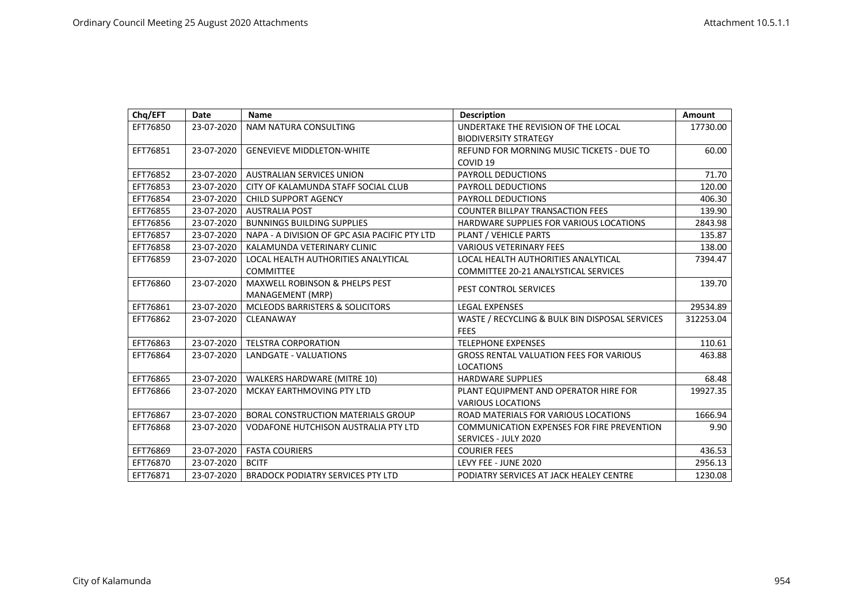| Chq/EFT  | Date       | <b>Name</b>                                   | <b>Description</b>                                | Amount    |
|----------|------------|-----------------------------------------------|---------------------------------------------------|-----------|
| EFT76850 | 23-07-2020 | NAM NATURA CONSULTING                         | UNDERTAKE THE REVISION OF THE LOCAL               | 17730.00  |
|          |            |                                               | <b>BIODIVERSITY STRATEGY</b>                      |           |
| EFT76851 | 23-07-2020 | <b>GENEVIEVE MIDDLETON-WHITE</b>              | REFUND FOR MORNING MUSIC TICKETS - DUE TO         | 60.00     |
|          |            |                                               | COVID <sub>19</sub>                               |           |
| EFT76852 | 23-07-2020 | <b>AUSTRALIAN SERVICES UNION</b>              | PAYROLL DEDUCTIONS                                | 71.70     |
| EFT76853 | 23-07-2020 | CITY OF KALAMUNDA STAFF SOCIAL CLUB           | <b>PAYROLL DEDUCTIONS</b>                         | 120.00    |
| EFT76854 | 23-07-2020 | <b>CHILD SUPPORT AGENCY</b>                   | <b>PAYROLL DEDUCTIONS</b>                         | 406.30    |
| EFT76855 | 23-07-2020 | <b>AUSTRALIA POST</b>                         | <b>COUNTER BILLPAY TRANSACTION FEES</b>           | 139.90    |
| EFT76856 | 23-07-2020 | <b>BUNNINGS BUILDING SUPPLIES</b>             | <b>HARDWARE SUPPLIES FOR VARIOUS LOCATIONS</b>    | 2843.98   |
| EFT76857 | 23-07-2020 | NAPA - A DIVISION OF GPC ASIA PACIFIC PTY LTD | PLANT / VEHICLE PARTS                             | 135.87    |
| EFT76858 | 23-07-2020 | KALAMUNDA VETERINARY CLINIC                   | <b>VARIOUS VETERINARY FEES</b>                    | 138.00    |
| EFT76859 | 23-07-2020 | LOCAL HEALTH AUTHORITIES ANALYTICAL           | <b>LOCAL HEALTH AUTHORITIES ANALYTICAL</b>        | 7394.47   |
|          |            | <b>COMMITTEE</b>                              | <b>COMMITTEE 20-21 ANALYSTICAL SERVICES</b>       |           |
| EFT76860 | 23-07-2020 | <b>MAXWELL ROBINSON &amp; PHELPS PEST</b>     | PEST CONTROL SERVICES                             | 139.70    |
|          |            | MANAGEMENT (MRP)                              |                                                   |           |
| EFT76861 | 23-07-2020 | <b>MCLEODS BARRISTERS &amp; SOLICITORS</b>    | <b>LEGAL EXPENSES</b>                             | 29534.89  |
| EFT76862 | 23-07-2020 | CLEANAWAY                                     | WASTE / RECYCLING & BULK BIN DISPOSAL SERVICES    | 312253.04 |
|          |            |                                               | <b>FEES</b>                                       |           |
| EFT76863 | 23-07-2020 | <b>TELSTRA CORPORATION</b>                    | <b>TELEPHONE EXPENSES</b>                         | 110.61    |
| EFT76864 | 23-07-2020 | LANDGATE - VALUATIONS                         | <b>GROSS RENTAL VALUATION FEES FOR VARIOUS</b>    | 463.88    |
|          |            |                                               | <b>LOCATIONS</b>                                  |           |
| EFT76865 | 23-07-2020 | <b>WALKERS HARDWARE (MITRE 10)</b>            | <b>HARDWARE SUPPLIES</b>                          | 68.48     |
| EFT76866 | 23-07-2020 | MCKAY EARTHMOVING PTY LTD                     | PLANT EQUIPMENT AND OPERATOR HIRE FOR             | 19927.35  |
|          |            |                                               | <b>VARIOUS LOCATIONS</b>                          |           |
| EFT76867 | 23-07-2020 | <b>BORAL CONSTRUCTION MATERIALS GROUP</b>     | ROAD MATERIALS FOR VARIOUS LOCATIONS              | 1666.94   |
| EFT76868 | 23-07-2020 | <b>VODAFONE HUTCHISON AUSTRALIA PTY LTD</b>   | <b>COMMUNICATION EXPENSES FOR FIRE PREVENTION</b> | 9.90      |
|          |            |                                               | SERVICES - JULY 2020                              |           |
| EFT76869 | 23-07-2020 | <b>FASTA COURIERS</b>                         | <b>COURIER FEES</b>                               | 436.53    |
| EFT76870 | 23-07-2020 | <b>BCITF</b>                                  | LEVY FEE - JUNE 2020                              | 2956.13   |
| EFT76871 | 23-07-2020 | <b>BRADOCK PODIATRY SERVICES PTY LTD</b>      | PODIATRY SERVICES AT JACK HEALEY CENTRE           | 1230.08   |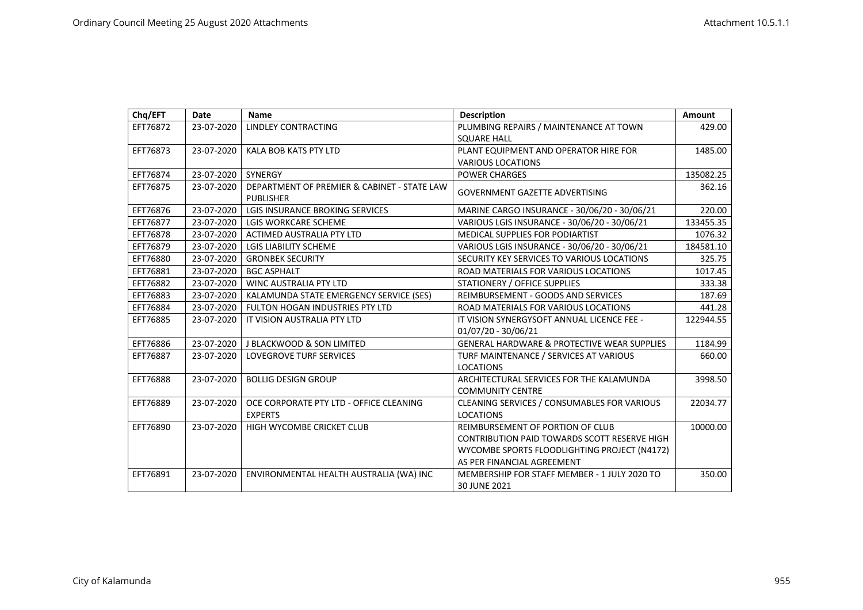| Chq/EFT  | Date       | <b>Name</b>                                                     | <b>Description</b>                                                                                                                                             | Amount    |
|----------|------------|-----------------------------------------------------------------|----------------------------------------------------------------------------------------------------------------------------------------------------------------|-----------|
| EFT76872 | 23-07-2020 | LINDLEY CONTRACTING                                             | PLUMBING REPAIRS / MAINTENANCE AT TOWN<br><b>SQUARE HALL</b>                                                                                                   | 429.00    |
| EFT76873 | 23-07-2020 | <b>KALA BOB KATS PTY LTD</b>                                    | PLANT EQUIPMENT AND OPERATOR HIRE FOR<br><b>VARIOUS LOCATIONS</b>                                                                                              | 1485.00   |
| EFT76874 | 23-07-2020 | SYNERGY                                                         | <b>POWER CHARGES</b>                                                                                                                                           | 135082.25 |
| EFT76875 | 23-07-2020 | DEPARTMENT OF PREMIER & CABINET - STATE LAW<br><b>PUBLISHER</b> | <b>GOVERNMENT GAZETTE ADVERTISING</b>                                                                                                                          | 362.16    |
| EFT76876 | 23-07-2020 | LGIS INSURANCE BROKING SERVICES                                 | MARINE CARGO INSURANCE - 30/06/20 - 30/06/21                                                                                                                   | 220.00    |
| EFT76877 | 23-07-2020 | <b>LGIS WORKCARE SCHEME</b>                                     | VARIOUS LGIS INSURANCE - 30/06/20 - 30/06/21                                                                                                                   | 133455.35 |
| EFT76878 | 23-07-2020 | <b>ACTIMED AUSTRALIA PTY LTD</b>                                | MEDICAL SUPPLIES FOR PODIARTIST                                                                                                                                | 1076.32   |
| EFT76879 | 23-07-2020 | <b>LGIS LIABILITY SCHEME</b>                                    | VARIOUS LGIS INSURANCE - 30/06/20 - 30/06/21                                                                                                                   | 184581.10 |
| EFT76880 | 23-07-2020 | <b>GRONBEK SECURITY</b>                                         | SECURITY KEY SERVICES TO VARIOUS LOCATIONS                                                                                                                     | 325.75    |
| EFT76881 | 23-07-2020 | <b>BGC ASPHALT</b>                                              | ROAD MATERIALS FOR VARIOUS LOCATIONS                                                                                                                           | 1017.45   |
| EFT76882 | 23-07-2020 | WINC AUSTRALIA PTY LTD                                          | STATIONERY / OFFICE SUPPLIES                                                                                                                                   | 333.38    |
| EFT76883 | 23-07-2020 | KALAMUNDA STATE EMERGENCY SERVICE (SES)                         | REIMBURSEMENT - GOODS AND SERVICES                                                                                                                             | 187.69    |
| EFT76884 | 23-07-2020 | FULTON HOGAN INDUSTRIES PTY LTD                                 | ROAD MATERIALS FOR VARIOUS LOCATIONS                                                                                                                           | 441.28    |
| EFT76885 | 23-07-2020 | IT VISION AUSTRALIA PTY LTD                                     | IT VISION SYNERGYSOFT ANNUAL LICENCE FEE -<br>01/07/20 - 30/06/21                                                                                              | 122944.55 |
| EFT76886 | 23-07-2020 | J BLACKWOOD & SON LIMITED                                       | <b>GENERAL HARDWARE &amp; PROTECTIVE WEAR SUPPLIES</b>                                                                                                         | 1184.99   |
| EFT76887 | 23-07-2020 | <b>LOVEGROVE TURF SERVICES</b>                                  | TURF MAINTENANCE / SERVICES AT VARIOUS<br><b>LOCATIONS</b>                                                                                                     | 660.00    |
| EFT76888 | 23-07-2020 | <b>BOLLIG DESIGN GROUP</b>                                      | ARCHITECTURAL SERVICES FOR THE KALAMUNDA<br><b>COMMUNITY CENTRE</b>                                                                                            | 3998.50   |
| EFT76889 | 23-07-2020 | OCE CORPORATE PTY LTD - OFFICE CLEANING<br><b>EXPERTS</b>       | CLEANING SERVICES / CONSUMABLES FOR VARIOUS<br><b>LOCATIONS</b>                                                                                                | 22034.77  |
| EFT76890 | 23-07-2020 | HIGH WYCOMBE CRICKET CLUB                                       | REIMBURSEMENT OF PORTION OF CLUB<br>CONTRIBUTION PAID TOWARDS SCOTT RESERVE HIGH<br>WYCOMBE SPORTS FLOODLIGHTING PROJECT (N4172)<br>AS PER FINANCIAL AGREEMENT | 10000.00  |
| EFT76891 | 23-07-2020 | ENVIRONMENTAL HEALTH AUSTRALIA (WA) INC                         | MEMBERSHIP FOR STAFF MEMBER - 1 JULY 2020 TO<br>30 JUNE 2021                                                                                                   | 350.00    |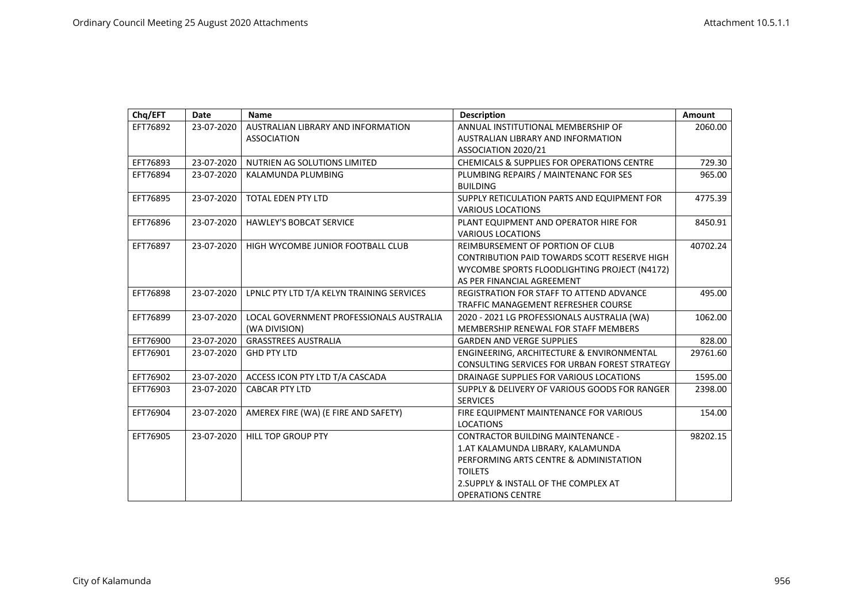| Chq/EFT  | Date       | Name                                      | <b>Description</b>                                                      | Amount   |
|----------|------------|-------------------------------------------|-------------------------------------------------------------------------|----------|
| EFT76892 | 23-07-2020 | AUSTRALIAN LIBRARY AND INFORMATION        | ANNUAL INSTITUTIONAL MEMBERSHIP OF                                      | 2060.00  |
|          |            | <b>ASSOCIATION</b>                        | AUSTRALIAN LIBRARY AND INFORMATION                                      |          |
|          |            |                                           | ASSOCIATION 2020/21                                                     |          |
| EFT76893 | 23-07-2020 | NUTRIEN AG SOLUTIONS LIMITED              | <b>CHEMICALS &amp; SUPPLIES FOR OPERATIONS CENTRE</b>                   | 729.30   |
| EFT76894 | 23-07-2020 | KALAMUNDA PLUMBING                        | PLUMBING REPAIRS / MAINTENANC FOR SES<br><b>BUILDING</b>                | 965.00   |
| EFT76895 | 23-07-2020 | <b>TOTAL EDEN PTY LTD</b>                 | SUPPLY RETICULATION PARTS AND EQUIPMENT FOR<br><b>VARIOUS LOCATIONS</b> | 4775.39  |
| EFT76896 | 23-07-2020 | <b>HAWLEY'S BOBCAT SERVICE</b>            | PLANT EQUIPMENT AND OPERATOR HIRE FOR<br><b>VARIOUS LOCATIONS</b>       | 8450.91  |
| EFT76897 | 23-07-2020 | HIGH WYCOMBE JUNIOR FOOTBALL CLUB         | REIMBURSEMENT OF PORTION OF CLUB                                        | 40702.24 |
|          |            |                                           | <b>CONTRIBUTION PAID TOWARDS SCOTT RESERVE HIGH</b>                     |          |
|          |            |                                           | WYCOMBE SPORTS FLOODLIGHTING PROJECT (N4172)                            |          |
|          |            |                                           | AS PER FINANCIAL AGREEMENT                                              |          |
| EFT76898 | 23-07-2020 | LPNLC PTY LTD T/A KELYN TRAINING SERVICES | <b>REGISTRATION FOR STAFF TO ATTEND ADVANCE</b>                         | 495.00   |
|          |            |                                           | TRAFFIC MANAGEMENT REFRESHER COURSE                                     |          |
| EFT76899 | 23-07-2020 | LOCAL GOVERNMENT PROFESSIONALS AUSTRALIA  | 2020 - 2021 LG PROFESSIONALS AUSTRALIA (WA)                             | 1062.00  |
|          |            | (WA DIVISION)                             | MEMBERSHIP RENEWAL FOR STAFF MEMBERS                                    |          |
| EFT76900 | 23-07-2020 | <b>GRASSTREES AUSTRALIA</b>               | <b>GARDEN AND VERGE SUPPLIES</b>                                        | 828.00   |
| EFT76901 | 23-07-2020 | <b>GHD PTY LTD</b>                        | ENGINEERING, ARCHITECTURE & ENVIRONMENTAL                               | 29761.60 |
|          |            |                                           | CONSULTING SERVICES FOR URBAN FOREST STRATEGY                           |          |
| EFT76902 | 23-07-2020 | ACCESS ICON PTY LTD T/A CASCADA           | DRAINAGE SUPPLIES FOR VARIOUS LOCATIONS                                 | 1595.00  |
| EFT76903 | 23-07-2020 | <b>CABCAR PTY LTD</b>                     | SUPPLY & DELIVERY OF VARIOUS GOODS FOR RANGER<br><b>SERVICES</b>        | 2398.00  |
| EFT76904 | 23-07-2020 | AMEREX FIRE (WA) (E FIRE AND SAFETY)      | FIRE EQUIPMENT MAINTENANCE FOR VARIOUS<br><b>LOCATIONS</b>              | 154.00   |
| EFT76905 | 23-07-2020 | <b>HILL TOP GROUP PTY</b>                 | <b>CONTRACTOR BUILDING MAINTENANCE -</b>                                | 98202.15 |
|          |            |                                           | 1.AT KALAMUNDA LIBRARY, KALAMUNDA                                       |          |
|          |            |                                           | PERFORMING ARTS CENTRE & ADMINISTATION                                  |          |
|          |            |                                           | <b>TOILETS</b>                                                          |          |
|          |            |                                           | 2. SUPPLY & INSTALL OF THE COMPLEX AT                                   |          |
|          |            |                                           | <b>OPERATIONS CENTRE</b>                                                |          |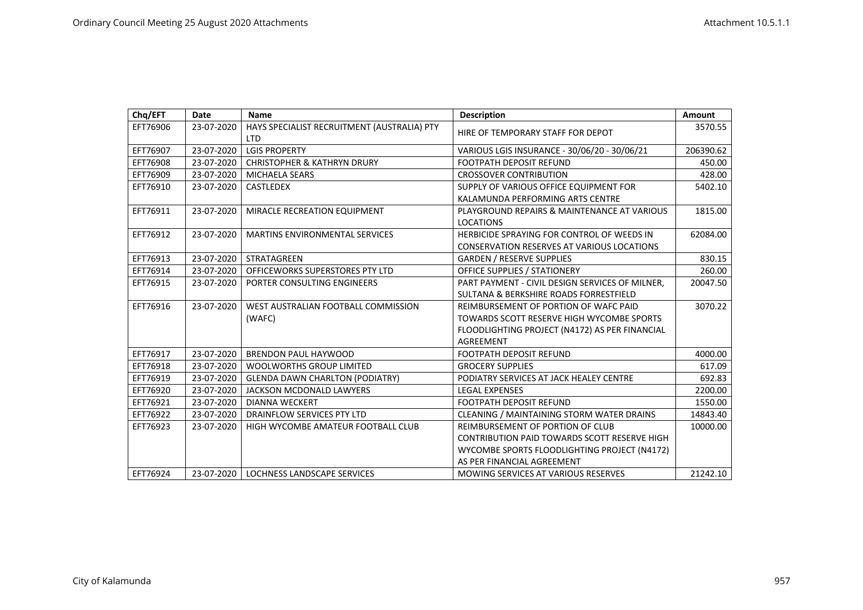| Chq/EFT  | Date       | Name                                                      | <b>Description</b>                                  | <b>Amount</b> |
|----------|------------|-----------------------------------------------------------|-----------------------------------------------------|---------------|
| EFT76906 | 23-07-2020 | HAYS SPECIALIST RECRUITMENT (AUSTRALIA) PTY<br><b>LTD</b> | HIRE OF TEMPORARY STAFF FOR DEPOT                   | 3570.55       |
| EFT76907 | 23-07-2020 | <b>LGIS PROPERTY</b>                                      | VARIOUS LGIS INSURANCE - 30/06/20 - 30/06/21        | 206390.62     |
| EFT76908 | 23-07-2020 | <b>CHRISTOPHER &amp; KATHRYN DRURY</b>                    | <b>FOOTPATH DEPOSIT REFUND</b>                      | 450.00        |
| EFT76909 | 23-07-2020 | <b>MICHAELA SEARS</b>                                     | <b>CROSSOVER CONTRIBUTION</b>                       | 428.00        |
| EFT76910 | 23-07-2020 | <b>CASTLEDEX</b>                                          | SUPPLY OF VARIOUS OFFICE EQUIPMENT FOR              | 5402.10       |
|          |            |                                                           | KALAMUNDA PERFORMING ARTS CENTRE                    |               |
| EFT76911 | 23-07-2020 | MIRACLE RECREATION EQUIPMENT                              | PLAYGROUND REPAIRS & MAINTENANCE AT VARIOUS         | 1815.00       |
|          |            |                                                           | <b>LOCATIONS</b>                                    |               |
| EFT76912 | 23-07-2020 | <b>MARTINS ENVIRONMENTAL SERVICES</b>                     | HERBICIDE SPRAYING FOR CONTROL OF WEEDS IN          | 62084.00      |
|          |            |                                                           | <b>CONSERVATION RESERVES AT VARIOUS LOCATIONS</b>   |               |
| EFT76913 | 23-07-2020 | STRATAGREEN                                               | <b>GARDEN / RESERVE SUPPLIES</b>                    | 830.15        |
| EFT76914 | 23-07-2020 | OFFICEWORKS SUPERSTORES PTY LTD                           | <b>OFFICE SUPPLIES / STATIONERY</b>                 | 260.00        |
| EFT76915 | 23-07-2020 | PORTER CONSULTING ENGINEERS                               | PART PAYMENT - CIVIL DESIGN SERVICES OF MILNER,     | 20047.50      |
|          |            |                                                           | SULTANA & BERKSHIRE ROADS FORRESTFIELD              |               |
| EFT76916 | 23-07-2020 | WEST AUSTRALIAN FOOTBALL COMMISSION                       | REIMBURSEMENT OF PORTION OF WAFC PAID               | 3070.22       |
|          |            | (WAFC)                                                    | TOWARDS SCOTT RESERVE HIGH WYCOMBE SPORTS           |               |
|          |            |                                                           | FLOODLIGHTING PROJECT (N4172) AS PER FINANCIAL      |               |
|          |            |                                                           | <b>AGREEMENT</b>                                    |               |
| EFT76917 | 23-07-2020 | <b>BRENDON PAUL HAYWOOD</b>                               | <b>FOOTPATH DEPOSIT REFUND</b>                      | 4000.00       |
| EFT76918 | 23-07-2020 | <b>WOOLWORTHS GROUP LIMITED</b>                           | <b>GROCERY SUPPLIES</b>                             | 617.09        |
| EFT76919 | 23-07-2020 | <b>GLENDA DAWN CHARLTON (PODIATRY)</b>                    | PODIATRY SERVICES AT JACK HEALEY CENTRE             | 692.83        |
| EFT76920 | 23-07-2020 | <b>JACKSON MCDONALD LAWYERS</b>                           | <b>LEGAL EXPENSES</b>                               | 2200.00       |
| EFT76921 | 23-07-2020 | DIANNA WECKERT                                            | <b>FOOTPATH DEPOSIT REFUND</b>                      | 1550.00       |
| EFT76922 | 23-07-2020 | DRAINFLOW SERVICES PTY LTD                                | <b>CLEANING / MAINTAINING STORM WATER DRAINS</b>    | 14843.40      |
| EFT76923 | 23-07-2020 | HIGH WYCOMBE AMATEUR FOOTBALL CLUB                        | REIMBURSEMENT OF PORTION OF CLUB                    | 10000.00      |
|          |            |                                                           | <b>CONTRIBUTION PAID TOWARDS SCOTT RESERVE HIGH</b> |               |
|          |            |                                                           | WYCOMBE SPORTS FLOODLIGHTING PROJECT (N4172)        |               |
|          |            |                                                           | AS PER FINANCIAL AGREEMENT                          |               |
| EFT76924 | 23-07-2020 | LOCHNESS LANDSCAPE SERVICES                               | MOWING SERVICES AT VARIOUS RESERVES                 | 21242.10      |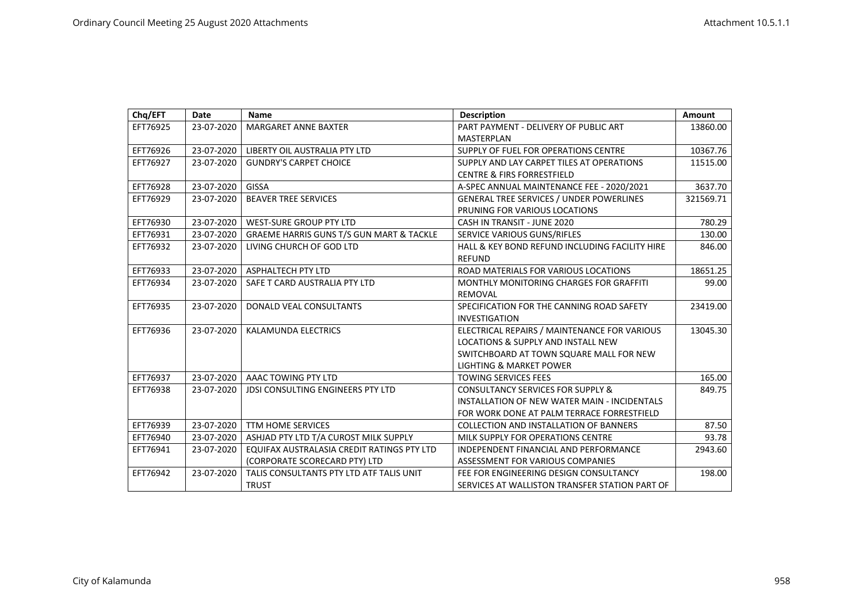| Chq/EFT  | Date       | <b>Name</b>                                         | <b>Description</b>                                  | <b>Amount</b> |
|----------|------------|-----------------------------------------------------|-----------------------------------------------------|---------------|
| EFT76925 | 23-07-2020 | <b>MARGARET ANNE BAXTER</b>                         | PART PAYMENT - DELIVERY OF PUBLIC ART               | 13860.00      |
|          |            |                                                     | <b>MASTERPLAN</b>                                   |               |
| EFT76926 | 23-07-2020 | LIBERTY OIL AUSTRALIA PTY LTD                       | SUPPLY OF FUEL FOR OPERATIONS CENTRE                | 10367.76      |
| EFT76927 | 23-07-2020 | <b>GUNDRY'S CARPET CHOICE</b>                       | SUPPLY AND LAY CARPET TILES AT OPERATIONS           | 11515.00      |
|          |            |                                                     | <b>CENTRE &amp; FIRS FORRESTFIELD</b>               |               |
| EFT76928 | 23-07-2020 | <b>GISSA</b>                                        | A-SPEC ANNUAL MAINTENANCE FEE - 2020/2021           | 3637.70       |
| EFT76929 | 23-07-2020 | <b>BEAVER TREE SERVICES</b>                         | <b>GENERAL TREE SERVICES / UNDER POWERLINES</b>     | 321569.71     |
|          |            |                                                     | PRUNING FOR VARIOUS LOCATIONS                       |               |
| EFT76930 | 23-07-2020 | <b>WEST-SURE GROUP PTY LTD</b>                      | CASH IN TRANSIT - JUNE 2020                         | 780.29        |
| EFT76931 | 23-07-2020 | <b>GRAEME HARRIS GUNS T/S GUN MART &amp; TACKLE</b> | SERVICE VARIOUS GUNS/RIFLES                         | 130.00        |
| EFT76932 | 23-07-2020 | LIVING CHURCH OF GOD LTD                            | HALL & KEY BOND REFUND INCLUDING FACILITY HIRE      | 846.00        |
|          |            |                                                     | <b>REFUND</b>                                       |               |
| EFT76933 | 23-07-2020 | <b>ASPHALTECH PTY LTD</b>                           | ROAD MATERIALS FOR VARIOUS LOCATIONS                | 18651.25      |
| EFT76934 | 23-07-2020 | SAFE T CARD AUSTRALIA PTY LTD                       | MONTHLY MONITORING CHARGES FOR GRAFFITI             | 99.00         |
|          |            |                                                     | REMOVAL                                             |               |
| EFT76935 | 23-07-2020 | <b>DONALD VEAL CONSULTANTS</b>                      | SPECIFICATION FOR THE CANNING ROAD SAFETY           | 23419.00      |
|          |            |                                                     | <b>INVESTIGATION</b>                                |               |
| EFT76936 | 23-07-2020 | KALAMUNDA ELECTRICS                                 | ELECTRICAL REPAIRS / MAINTENANCE FOR VARIOUS        | 13045.30      |
|          |            |                                                     | <b>LOCATIONS &amp; SUPPLY AND INSTALL NEW</b>       |               |
|          |            |                                                     | SWITCHBOARD AT TOWN SQUARE MALL FOR NEW             |               |
|          |            |                                                     | LIGHTING & MARKET POWER                             |               |
| EFT76937 | 23-07-2020 | AAAC TOWING PTY LTD                                 | <b>TOWING SERVICES FEES</b>                         | 165.00        |
| EFT76938 | 23-07-2020 | <b>JDSI CONSULTING ENGINEERS PTY LTD</b>            | <b>CONSULTANCY SERVICES FOR SUPPLY &amp;</b>        | 849.75        |
|          |            |                                                     | <b>INSTALLATION OF NEW WATER MAIN - INCIDENTALS</b> |               |
|          |            |                                                     | FOR WORK DONE AT PALM TERRACE FORRESTFIELD          |               |
| EFT76939 | 23-07-2020 | <b>TTM HOME SERVICES</b>                            | <b>COLLECTION AND INSTALLATION OF BANNERS</b>       | 87.50         |
| EFT76940 | 23-07-2020 | ASHJAD PTY LTD T/A CUROST MILK SUPPLY               | MILK SUPPLY FOR OPERATIONS CENTRE                   | 93.78         |
| EFT76941 | 23-07-2020 | EQUIFAX AUSTRALASIA CREDIT RATINGS PTY LTD          | INDEPENDENT FINANCIAL AND PERFORMANCE               | 2943.60       |
|          |            | (CORPORATE SCORECARD PTY) LTD                       | ASSESSMENT FOR VARIOUS COMPANIES                    |               |
| EFT76942 | 23-07-2020 | TALIS CONSULTANTS PTY LTD ATF TALIS UNIT            | FEE FOR ENGINEERING DESIGN CONSULTANCY              | 198.00        |
|          |            | <b>TRUST</b>                                        | SERVICES AT WALLISTON TRANSFER STATION PART OF      |               |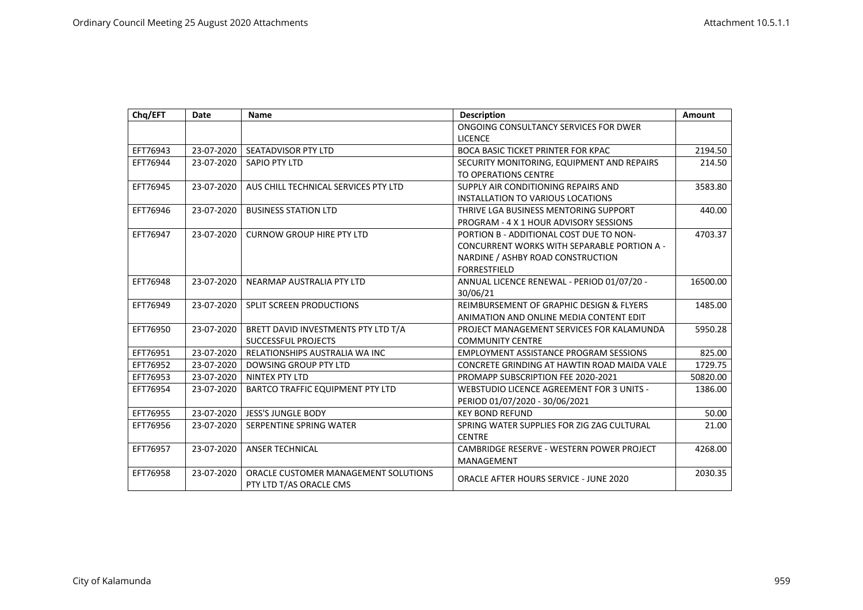| Chq/EFT  | Date       | <b>Name</b>                                                      | <b>Description</b>                                  | <b>Amount</b> |
|----------|------------|------------------------------------------------------------------|-----------------------------------------------------|---------------|
|          |            |                                                                  | ONGOING CONSULTANCY SERVICES FOR DWER               |               |
|          |            |                                                                  | <b>LICENCE</b>                                      |               |
| EFT76943 | 23-07-2020 | SEATADVISOR PTY LTD<br><b>BOCA BASIC TICKET PRINTER FOR KPAC</b> |                                                     | 2194.50       |
| EFT76944 | 23-07-2020 | SAPIO PTY LTD                                                    | SECURITY MONITORING, EQUIPMENT AND REPAIRS          | 214.50        |
|          |            |                                                                  | TO OPERATIONS CENTRE                                |               |
| EFT76945 | 23-07-2020 | AUS CHILL TECHNICAL SERVICES PTY LTD                             | SUPPLY AIR CONDITIONING REPAIRS AND                 | 3583.80       |
|          |            |                                                                  | <b>INSTALLATION TO VARIOUS LOCATIONS</b>            |               |
| EFT76946 | 23-07-2020 | <b>BUSINESS STATION LTD</b>                                      | THRIVE LGA BUSINESS MENTORING SUPPORT               | 440.00        |
|          |            |                                                                  | PROGRAM - 4 X 1 HOUR ADVISORY SESSIONS              |               |
| EFT76947 | 23-07-2020 | <b>CURNOW GROUP HIRE PTY LTD</b>                                 | PORTION B - ADDITIONAL COST DUE TO NON-             | 4703.37       |
|          |            |                                                                  | CONCURRENT WORKS WITH SEPARABLE PORTION A -         |               |
|          |            |                                                                  | NARDINE / ASHBY ROAD CONSTRUCTION                   |               |
|          |            |                                                                  | <b>FORRESTFIELD</b>                                 |               |
| EFT76948 | 23-07-2020 | NEARMAP AUSTRALIA PTY LTD                                        | ANNUAL LICENCE RENEWAL - PERIOD 01/07/20 -          | 16500.00      |
|          |            |                                                                  | 30/06/21                                            |               |
| EFT76949 | 23-07-2020 | <b>SPLIT SCREEN PRODUCTIONS</b>                                  | <b>REIMBURSEMENT OF GRAPHIC DESIGN &amp; FLYERS</b> | 1485.00       |
|          |            |                                                                  | ANIMATION AND ONLINE MEDIA CONTENT EDIT             |               |
| EFT76950 | 23-07-2020 | BRETT DAVID INVESTMENTS PTY LTD T/A                              | PROJECT MANAGEMENT SERVICES FOR KALAMUNDA           | 5950.28       |
|          |            | <b>SUCCESSFUL PROJECTS</b>                                       | <b>COMMUNITY CENTRE</b>                             |               |
| EFT76951 | 23-07-2020 | RELATIONSHIPS AUSTRALIA WA INC                                   | <b>EMPLOYMENT ASSISTANCE PROGRAM SESSIONS</b>       | 825.00        |
| EFT76952 | 23-07-2020 | DOWSING GROUP PTY LTD                                            | CONCRETE GRINDING AT HAWTIN ROAD MAIDA VALE         |               |
| EFT76953 | 23-07-2020 | NINTEX PTY LTD                                                   | PROMAPP SUBSCRIPTION FEE 2020-2021                  |               |
| EFT76954 | 23-07-2020 | <b>BARTCO TRAFFIC EQUIPMENT PTY LTD</b>                          | <b>WEBSTUDIO LICENCE AGREEMENT FOR 3 UNITS -</b>    | 1386.00       |
|          |            |                                                                  | PERIOD 01/07/2020 - 30/06/2021                      |               |
| EFT76955 | 23-07-2020 | <b>JESS'S JUNGLE BODY</b>                                        | <b>KEY BOND REFUND</b>                              |               |
| EFT76956 | 23-07-2020 | SERPENTINE SPRING WATER                                          | SPRING WATER SUPPLIES FOR ZIG ZAG CULTURAL          | 21.00         |
|          |            |                                                                  | <b>CENTRE</b>                                       |               |
| EFT76957 | 23-07-2020 | <b>ANSER TECHNICAL</b>                                           | CAMBRIDGE RESERVE - WESTERN POWER PROJECT           | 4268.00       |
|          |            |                                                                  | MANAGEMENT                                          |               |
| EFT76958 | 23-07-2020 | ORACLE CUSTOMER MANAGEMENT SOLUTIONS                             | <b>ORACLE AFTER HOURS SERVICE - JUNE 2020</b>       | 2030.35       |
|          |            | PTY LTD T/AS ORACLE CMS                                          |                                                     |               |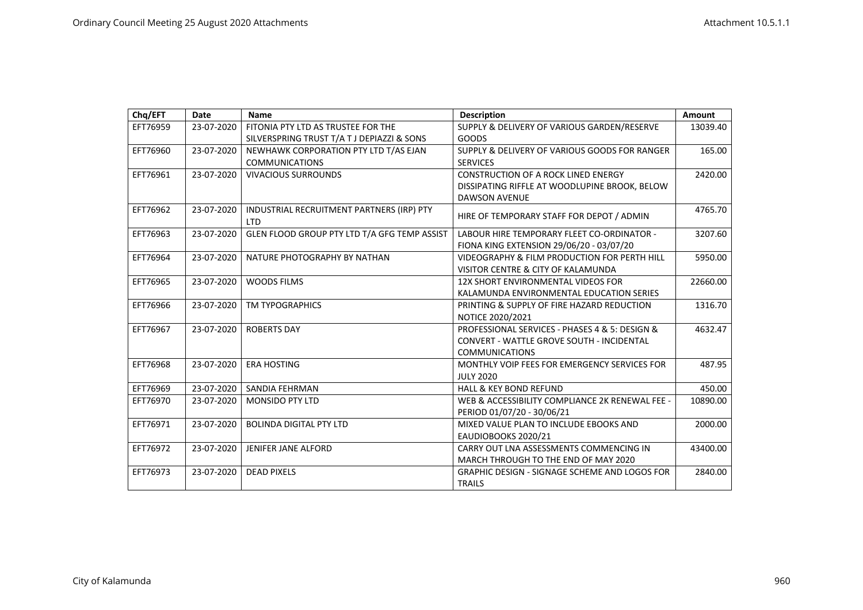| Chq/EFT  | <b>Date</b>                                                                                               | Name                                                                             | <b>Description</b>                                                                                                   | <b>Amount</b> |
|----------|-----------------------------------------------------------------------------------------------------------|----------------------------------------------------------------------------------|----------------------------------------------------------------------------------------------------------------------|---------------|
| EFT76959 | 23-07-2020                                                                                                | FITONIA PTY LTD AS TRUSTEE FOR THE<br>SILVERSPRING TRUST T/A T J DEPIAZZI & SONS | SUPPLY & DELIVERY OF VARIOUS GARDEN/RESERVE<br>GOODS                                                                 | 13039.40      |
| EFT76960 | 23-07-2020                                                                                                | NEWHAWK CORPORATION PTY LTD T/AS EJAN<br><b>COMMUNICATIONS</b>                   | SUPPLY & DELIVERY OF VARIOUS GOODS FOR RANGER<br><b>SERVICES</b>                                                     | 165.00        |
| EFT76961 | 23-07-2020                                                                                                | <b>VIVACIOUS SURROUNDS</b>                                                       | <b>CONSTRUCTION OF A ROCK LINED ENERGY</b><br>DISSIPATING RIFFLE AT WOODLUPINE BROOK, BELOW<br><b>DAWSON AVENUE</b>  |               |
| EFT76962 | 23-07-2020                                                                                                | INDUSTRIAL RECRUITMENT PARTNERS (IRP) PTY<br><b>LTD</b>                          | HIRE OF TEMPORARY STAFF FOR DEPOT / ADMIN                                                                            | 4765.70       |
| EFT76963 | 23-07-2020                                                                                                | GLEN FLOOD GROUP PTY LTD T/A GFG TEMP ASSIST                                     | LABOUR HIRE TEMPORARY FLEET CO-ORDINATOR -<br>FIONA KING EXTENSION 29/06/20 - 03/07/20                               | 3207.60       |
| EFT76964 | 23-07-2020                                                                                                | NATURE PHOTOGRAPHY BY NATHAN                                                     | <b>VIDEOGRAPHY &amp; FILM PRODUCTION FOR PERTH HILL</b><br>VISITOR CENTRE & CITY OF KALAMUNDA                        | 5950.00       |
| EFT76965 | 23-07-2020                                                                                                | <b>WOODS FILMS</b>                                                               | 12X SHORT ENVIRONMENTAL VIDEOS FOR<br>KALAMUNDA ENVIRONMENTAL EDUCATION SERIES                                       | 22660.00      |
| EFT76966 | 23-07-2020                                                                                                | <b>TM TYPOGRAPHICS</b>                                                           | PRINTING & SUPPLY OF FIRE HAZARD REDUCTION<br>NOTICE 2020/2021                                                       | 1316.70       |
| EFT76967 | 23-07-2020                                                                                                | <b>ROBERTS DAY</b>                                                               | PROFESSIONAL SERVICES - PHASES 4 & 5: DESIGN &<br>CONVERT - WATTLE GROVE SOUTH - INCIDENTAL<br><b>COMMUNICATIONS</b> |               |
| EFT76968 | 23-07-2020                                                                                                | <b>ERA HOSTING</b>                                                               | MONTHLY VOIP FEES FOR EMERGENCY SERVICES FOR<br><b>JULY 2020</b>                                                     |               |
| EFT76969 | 23-07-2020                                                                                                | SANDIA FEHRMAN                                                                   | <b>HALL &amp; KEY BOND REFUND</b>                                                                                    |               |
| EFT76970 | 23-07-2020                                                                                                | <b>MONSIDO PTY LTD</b>                                                           | WEB & ACCESSIBILITY COMPLIANCE 2K RENEWAL FEE -<br>PERIOD 01/07/20 - 30/06/21                                        | 10890.00      |
| EFT76971 | 23-07-2020                                                                                                | <b>BOLINDA DIGITAL PTY LTD</b>                                                   | MIXED VALUE PLAN TO INCLUDE EBOOKS AND<br>EAUDIOBOOKS 2020/21                                                        |               |
| EFT76972 | 23-07-2020                                                                                                | <b>JENIFER JANE ALFORD</b>                                                       | CARRY OUT LNA ASSESSMENTS COMMENCING IN<br>MARCH THROUGH TO THE END OF MAY 2020                                      | 43400.00      |
| EFT76973 | 23-07-2020<br><b>DEAD PIXELS</b><br><b>GRAPHIC DESIGN - SIGNAGE SCHEME AND LOGOS FOR</b><br><b>TRAILS</b> |                                                                                  | 2840.00                                                                                                              |               |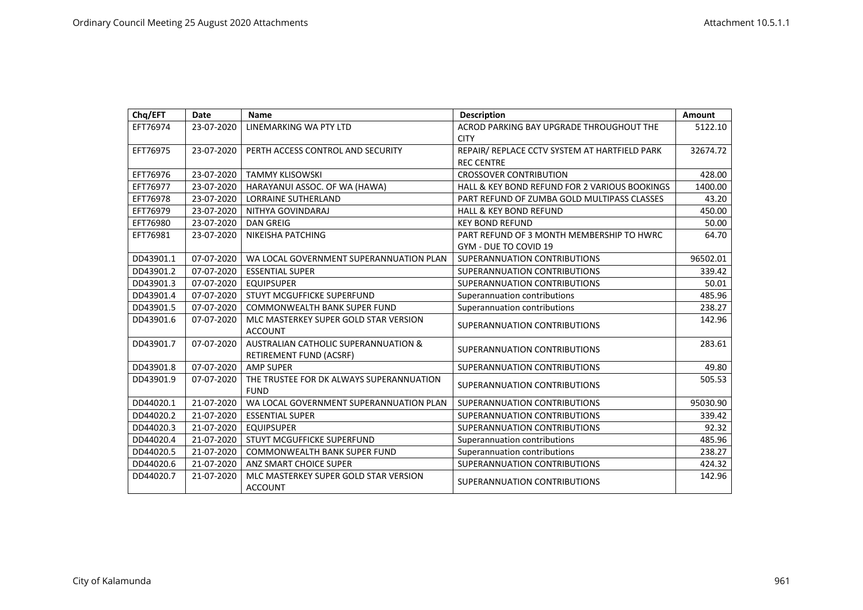| Chq/EFT   | Date                                                                 | <b>Name</b>                                                         | <b>Description</b>                                                 | Amount   |
|-----------|----------------------------------------------------------------------|---------------------------------------------------------------------|--------------------------------------------------------------------|----------|
| EFT76974  | 23-07-2020                                                           | LINEMARKING WA PTY LTD                                              | ACROD PARKING BAY UPGRADE THROUGHOUT THE<br><b>CITY</b>            | 5122.10  |
| EFT76975  | 23-07-2020                                                           | PERTH ACCESS CONTROL AND SECURITY                                   | REPAIR/ REPLACE CCTV SYSTEM AT HARTFIELD PARK<br><b>REC CENTRE</b> | 32674.72 |
| EFT76976  | 23-07-2020                                                           | <b>TAMMY KLISOWSKI</b>                                              | <b>CROSSOVER CONTRIBUTION</b>                                      | 428.00   |
| EFT76977  | 23-07-2020                                                           | HARAYANUI ASSOC. OF WA (HAWA)                                       | <b>HALL &amp; KEY BOND REFUND FOR 2 VARIOUS BOOKINGS</b>           | 1400.00  |
| EFT76978  | 23-07-2020                                                           | <b>LORRAINE SUTHERLAND</b>                                          | PART REFUND OF ZUMBA GOLD MULTIPASS CLASSES                        | 43.20    |
| EFT76979  | 23-07-2020                                                           | NITHYA GOVINDARAJ                                                   | <b>HALL &amp; KEY BOND REFUND</b>                                  | 450.00   |
| EFT76980  | 23-07-2020                                                           | <b>DAN GREIG</b>                                                    | <b>KEY BOND REFUND</b>                                             | 50.00    |
| EFT76981  | 23-07-2020                                                           | NIKEISHA PATCHING                                                   | PART REFUND OF 3 MONTH MEMBERSHIP TO HWRC                          | 64.70    |
|           |                                                                      |                                                                     | GYM - DUE TO COVID 19                                              |          |
| DD43901.1 | 07-07-2020                                                           | WA LOCAL GOVERNMENT SUPERANNUATION PLAN                             | SUPERANNUATION CONTRIBUTIONS                                       | 96502.01 |
| DD43901.2 | 07-07-2020<br><b>ESSENTIAL SUPER</b><br>SUPERANNUATION CONTRIBUTIONS |                                                                     |                                                                    | 339.42   |
| DD43901.3 | 07-07-2020                                                           | <b>EQUIPSUPER</b><br>SUPERANNUATION CONTRIBUTIONS                   |                                                                    | 50.01    |
| DD43901.4 | 07-07-2020                                                           | STUYT MCGUFFICKE SUPERFUND<br>Superannuation contributions          |                                                                    | 485.96   |
| DD43901.5 | 07-07-2020                                                           | <b>COMMONWEALTH BANK SUPER FUND</b>                                 | Superannuation contributions                                       | 238.27   |
| DD43901.6 | 07-07-2020                                                           | MLC MASTERKEY SUPER GOLD STAR VERSION<br><b>ACCOUNT</b>             | SUPERANNUATION CONTRIBUTIONS                                       |          |
| DD43901.7 | 07-07-2020                                                           | AUSTRALIAN CATHOLIC SUPERANNUATION &<br>RETIREMENT FUND (ACSRF)     | SUPERANNUATION CONTRIBUTIONS                                       | 283.61   |
| DD43901.8 | 07-07-2020                                                           | <b>AMP SUPER</b>                                                    | SUPERANNUATION CONTRIBUTIONS                                       | 49.80    |
| DD43901.9 | 07-07-2020                                                           | THE TRUSTEE FOR DK ALWAYS SUPERANNUATION<br><b>FUND</b>             | SUPERANNUATION CONTRIBUTIONS                                       | 505.53   |
| DD44020.1 | 21-07-2020<br>WA LOCAL GOVERNMENT SUPERANNUATION PLAN                |                                                                     | SUPERANNUATION CONTRIBUTIONS                                       | 95030.90 |
| DD44020.2 | 21-07-2020<br><b>ESSENTIAL SUPER</b><br>SUPERANNUATION CONTRIBUTIONS |                                                                     |                                                                    | 339.42   |
| DD44020.3 | 21-07-2020                                                           | <b>EQUIPSUPER</b><br>SUPERANNUATION CONTRIBUTIONS                   |                                                                    | 92.32    |
| DD44020.4 | 21-07-2020                                                           | STUYT MCGUFFICKE SUPERFUND<br>Superannuation contributions          |                                                                    | 485.96   |
| DD44020.5 | 21-07-2020                                                           | <b>COMMONWEALTH BANK SUPER FUND</b><br>Superannuation contributions |                                                                    | 238.27   |
| DD44020.6 | 21-07-2020                                                           | ANZ SMART CHOICE SUPER                                              | SUPERANNUATION CONTRIBUTIONS                                       | 424.32   |
| DD44020.7 | 21-07-2020                                                           | MLC MASTERKEY SUPER GOLD STAR VERSION<br><b>ACCOUNT</b>             | SUPERANNUATION CONTRIBUTIONS                                       | 142.96   |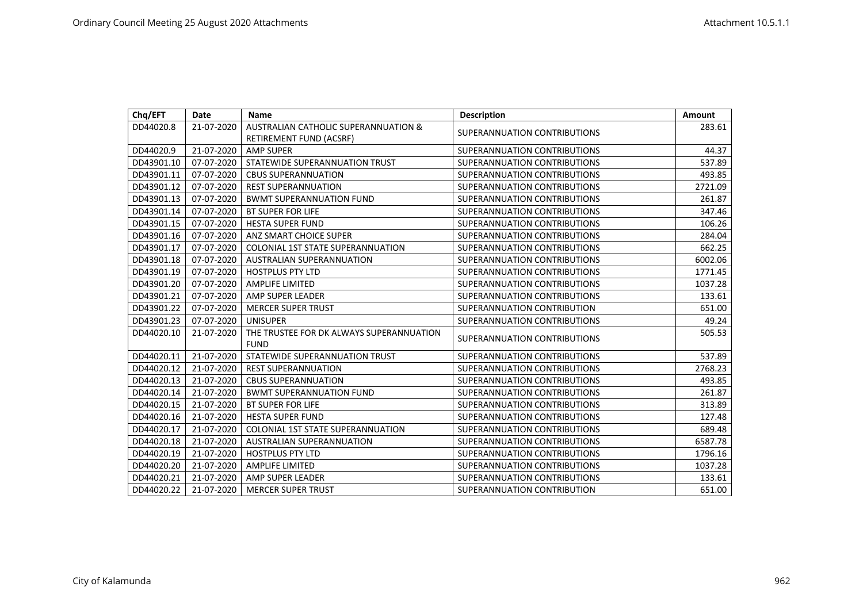| Chq/EFT    | Date       | <b>Name</b>                                                                | <b>Description</b>           | Amount  |
|------------|------------|----------------------------------------------------------------------------|------------------------------|---------|
| DD44020.8  | 21-07-2020 | <b>AUSTRALIAN CATHOLIC SUPERANNUATION &amp;</b><br>RETIREMENT FUND (ACSRF) | SUPERANNUATION CONTRIBUTIONS | 283.61  |
| DD44020.9  | 21-07-2020 | <b>AMP SUPER</b>                                                           | SUPERANNUATION CONTRIBUTIONS | 44.37   |
| DD43901.10 | 07-07-2020 | STATEWIDE SUPERANNUATION TRUST                                             | SUPERANNUATION CONTRIBUTIONS | 537.89  |
| DD43901.11 | 07-07-2020 | <b>CBUS SUPERANNUATION</b>                                                 | SUPERANNUATION CONTRIBUTIONS | 493.85  |
| DD43901.12 | 07-07-2020 | <b>REST SUPERANNUATION</b>                                                 | SUPERANNUATION CONTRIBUTIONS | 2721.09 |
| DD43901.13 | 07-07-2020 | <b>BWMT SUPERANNUATION FUND</b>                                            | SUPERANNUATION CONTRIBUTIONS | 261.87  |
| DD43901.14 | 07-07-2020 | <b>BT SUPER FOR LIFE</b>                                                   | SUPERANNUATION CONTRIBUTIONS | 347.46  |
| DD43901.15 | 07-07-2020 | <b>HESTA SUPER FUND</b>                                                    | SUPERANNUATION CONTRIBUTIONS | 106.26  |
| DD43901.16 | 07-07-2020 | ANZ SMART CHOICE SUPER                                                     | SUPERANNUATION CONTRIBUTIONS | 284.04  |
| DD43901.17 | 07-07-2020 | <b>COLONIAL 1ST STATE SUPERANNUATION</b>                                   | SUPERANNUATION CONTRIBUTIONS | 662.25  |
| DD43901.18 | 07-07-2020 | <b>AUSTRALIAN SUPERANNUATION</b>                                           | SUPERANNUATION CONTRIBUTIONS | 6002.06 |
| DD43901.19 | 07-07-2020 | <b>HOSTPLUS PTY LTD</b>                                                    | SUPERANNUATION CONTRIBUTIONS | 1771.45 |
| DD43901.20 | 07-07-2020 | <b>AMPLIFE LIMITED</b>                                                     | SUPERANNUATION CONTRIBUTIONS | 1037.28 |
| DD43901.21 | 07-07-2020 | AMP SUPER LEADER                                                           | SUPERANNUATION CONTRIBUTIONS | 133.61  |
| DD43901.22 | 07-07-2020 | <b>MERCER SUPER TRUST</b>                                                  | SUPERANNUATION CONTRIBUTION  | 651.00  |
| DD43901.23 | 07-07-2020 | <b>UNISUPER</b>                                                            | SUPERANNUATION CONTRIBUTIONS | 49.24   |
| DD44020.10 | 21-07-2020 | THE TRUSTEE FOR DK ALWAYS SUPERANNUATION<br><b>FUND</b>                    | SUPERANNUATION CONTRIBUTIONS | 505.53  |
| DD44020.11 | 21-07-2020 | STATEWIDE SUPERANNUATION TRUST                                             | SUPERANNUATION CONTRIBUTIONS | 537.89  |
| DD44020.12 | 21-07-2020 | <b>REST SUPERANNUATION</b>                                                 | SUPERANNUATION CONTRIBUTIONS | 2768.23 |
| DD44020.13 | 21-07-2020 | <b>CBUS SUPERANNUATION</b>                                                 | SUPERANNUATION CONTRIBUTIONS | 493.85  |
| DD44020.14 | 21-07-2020 | <b>BWMT SUPERANNUATION FUND</b>                                            | SUPERANNUATION CONTRIBUTIONS | 261.87  |
| DD44020.15 | 21-07-2020 | <b>BT SUPER FOR LIFE</b>                                                   | SUPERANNUATION CONTRIBUTIONS | 313.89  |
| DD44020.16 | 21-07-2020 | <b>HESTA SUPER FUND</b>                                                    | SUPERANNUATION CONTRIBUTIONS | 127.48  |
| DD44020.17 | 21-07-2020 | <b>COLONIAL 1ST STATE SUPERANNUATION</b>                                   | SUPERANNUATION CONTRIBUTIONS | 689.48  |
| DD44020.18 | 21-07-2020 | AUSTRALIAN SUPERANNUATION                                                  | SUPERANNUATION CONTRIBUTIONS | 6587.78 |
| DD44020.19 | 21-07-2020 | <b>HOSTPLUS PTY LTD</b>                                                    | SUPERANNUATION CONTRIBUTIONS | 1796.16 |
| DD44020.20 | 21-07-2020 | <b>AMPLIFE LIMITED</b>                                                     | SUPERANNUATION CONTRIBUTIONS | 1037.28 |
| DD44020.21 | 21-07-2020 | AMP SUPER LEADER                                                           | SUPERANNUATION CONTRIBUTIONS | 133.61  |
| DD44020.22 | 21-07-2020 | <b>MERCER SUPER TRUST</b>                                                  | SUPERANNUATION CONTRIBUTION  | 651.00  |